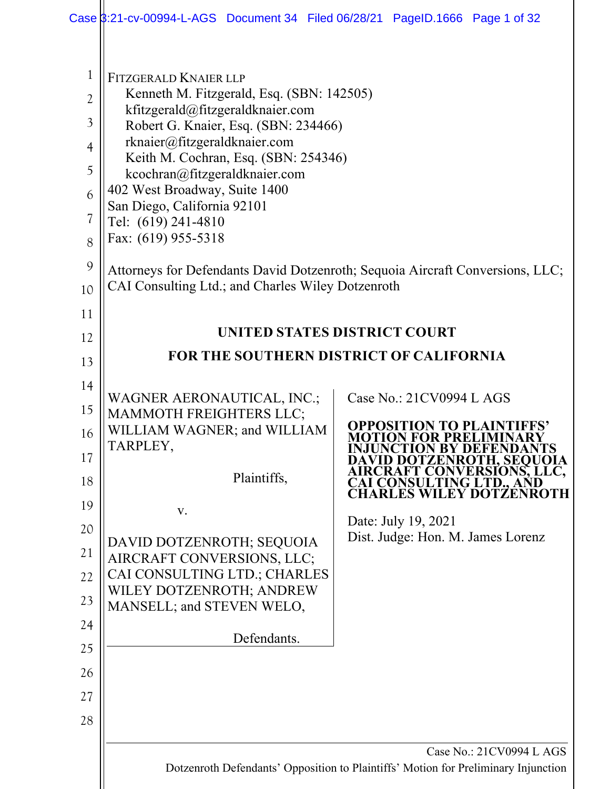|                                                                                                   |                                                                                                                                                                                                                                                                                                                                                                                                                                   | Case \$:21-cv-00994-L-AGS Document 34 Filed 06/28/21 PageID.1666 Page 1 of 32                                      |
|---------------------------------------------------------------------------------------------------|-----------------------------------------------------------------------------------------------------------------------------------------------------------------------------------------------------------------------------------------------------------------------------------------------------------------------------------------------------------------------------------------------------------------------------------|--------------------------------------------------------------------------------------------------------------------|
| $\mathbf{1}$<br>$\overline{2}$<br>$\mathfrak{Z}$<br>$\overline{4}$<br>5<br>6<br>7<br>8<br>9<br>10 | <b>FITZGERALD KNAIER LLP</b><br>Kenneth M. Fitzgerald, Esq. (SBN: 142505)<br>kfitzgerald@fitzgeraldknaier.com<br>Robert G. Knaier, Esq. (SBN: 234466)<br>rknaier@fitzgeraldknaier.com<br>Keith M. Cochran, Esq. (SBN: 254346)<br>kcochran@fitzgeraldknaier.com<br>402 West Broadway, Suite 1400<br>San Diego, California 92101<br>Tel: (619) 241-4810<br>Fax: (619) 955-5318<br>CAI Consulting Ltd.; and Charles Wiley Dotzenroth | Attorneys for Defendants David Dotzenroth; Sequoia Aircraft Conversions, LLC;                                      |
| 11                                                                                                |                                                                                                                                                                                                                                                                                                                                                                                                                                   |                                                                                                                    |
| 12                                                                                                |                                                                                                                                                                                                                                                                                                                                                                                                                                   | UNITED STATES DISTRICT COURT                                                                                       |
| 13                                                                                                |                                                                                                                                                                                                                                                                                                                                                                                                                                   | <b>FOR THE SOUTHERN DISTRICT OF CALIFORNIA</b>                                                                     |
| 14                                                                                                |                                                                                                                                                                                                                                                                                                                                                                                                                                   | Case No.: 21CV0994 L AGS                                                                                           |
| 15                                                                                                | WAGNER AERONAUTICAL, INC.;<br><b>MAMMOTH FREIGHTERS LLC;</b>                                                                                                                                                                                                                                                                                                                                                                      |                                                                                                                    |
| 16                                                                                                | WILLIAM WAGNER; and WILLIAM<br>TARPLEY,                                                                                                                                                                                                                                                                                                                                                                                           | <b>OPPOSITION TO PLAIN</b><br>)N FOR PREI                                                                          |
| 17                                                                                                |                                                                                                                                                                                                                                                                                                                                                                                                                                   | NCTION BY DEFENDAN<br><b>DAVID DOTZENROTH, SEQUOIA<br/>AIRCRAFT CONVERSIONS, LLC,<br/>CAI CONSULTING LTD., AND</b> |
| 18                                                                                                | Plaintiffs,                                                                                                                                                                                                                                                                                                                                                                                                                       | <b>CHARLES WILEY DOTZENROTH</b>                                                                                    |
| 19                                                                                                | V.                                                                                                                                                                                                                                                                                                                                                                                                                                | Date: July 19, 2021                                                                                                |
| 20                                                                                                | DAVID DOTZENROTH; SEQUOIA                                                                                                                                                                                                                                                                                                                                                                                                         | Dist. Judge: Hon. M. James Lorenz                                                                                  |
| 21                                                                                                | AIRCRAFT CONVERSIONS, LLC;<br>CAI CONSULTING LTD.; CHARLES                                                                                                                                                                                                                                                                                                                                                                        |                                                                                                                    |
| 22<br>23                                                                                          | WILEY DOTZENROTH; ANDREW                                                                                                                                                                                                                                                                                                                                                                                                          |                                                                                                                    |
| 24                                                                                                | MANSELL; and STEVEN WELO,                                                                                                                                                                                                                                                                                                                                                                                                         |                                                                                                                    |
| 25                                                                                                | Defendants.                                                                                                                                                                                                                                                                                                                                                                                                                       |                                                                                                                    |
| 26                                                                                                |                                                                                                                                                                                                                                                                                                                                                                                                                                   |                                                                                                                    |
| 27                                                                                                |                                                                                                                                                                                                                                                                                                                                                                                                                                   |                                                                                                                    |
| 28                                                                                                |                                                                                                                                                                                                                                                                                                                                                                                                                                   |                                                                                                                    |
|                                                                                                   |                                                                                                                                                                                                                                                                                                                                                                                                                                   | Case No.: 21CV0994 L AGS                                                                                           |
|                                                                                                   |                                                                                                                                                                                                                                                                                                                                                                                                                                   | Dotzenroth Defendants' Opposition to Plaintiffs' Motion for Preliminary Injunction                                 |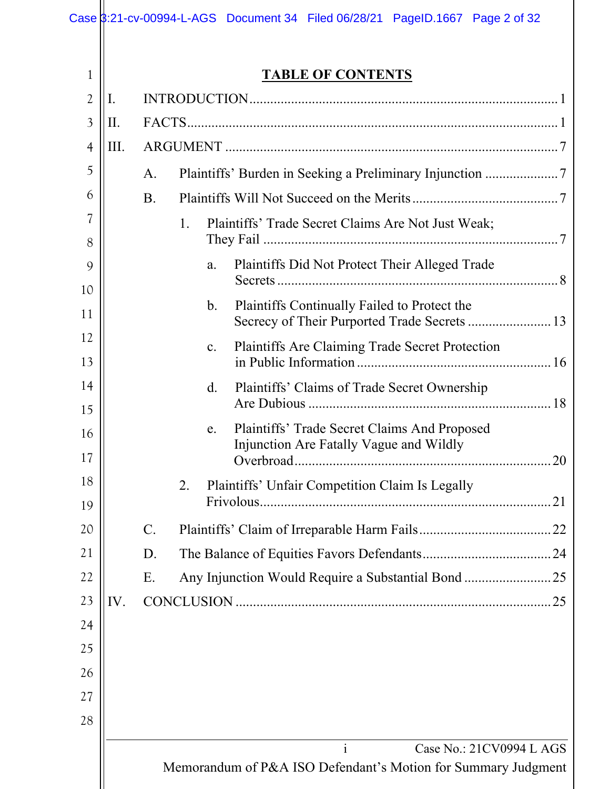|                |      |           | Case 3:21-cv-00994-L-AGS Document 34 Filed 06/28/21 PageID.1667 Page 2 of 32                              |
|----------------|------|-----------|-----------------------------------------------------------------------------------------------------------|
|                |      |           |                                                                                                           |
| 1              |      |           | <b>TABLE OF CONTENTS</b>                                                                                  |
| $\overline{2}$ | I.   |           |                                                                                                           |
| 3              | II.  |           |                                                                                                           |
| $\overline{4}$ | III. |           |                                                                                                           |
| 5              |      | A.        |                                                                                                           |
| 6              |      | <b>B.</b> |                                                                                                           |
| 7<br>8         |      |           | Plaintiffs' Trade Secret Claims Are Not Just Weak;<br>1.                                                  |
| 9              |      |           | Plaintiffs Did Not Protect Their Alleged Trade<br>a.                                                      |
| 10<br>11       |      |           | Plaintiffs Continually Failed to Protect the<br>b.<br>Secrecy of Their Purported Trade Secrets  13        |
| 12             |      |           | Plaintiffs Are Claiming Trade Secret Protection<br>$\mathbf{c}$ .                                         |
| 13             |      |           |                                                                                                           |
| 14<br>15       |      |           | Plaintiffs' Claims of Trade Secret Ownership<br>$\rm d$ .                                                 |
| 16<br>17       |      |           | Plaintiffs' Trade Secret Claims And Proposed<br>e.<br>Injunction Are Fatally Vague and Wildly             |
| 18<br>19       |      |           | Plaintiffs' Unfair Competition Claim Is Legally<br>2.                                                     |
| 20             |      | C.        |                                                                                                           |
| 21             |      | D.        |                                                                                                           |
| 22             |      | Ε.        | Any Injunction Would Require a Substantial Bond 25                                                        |
| 23             | IV.  |           |                                                                                                           |
| 24             |      |           |                                                                                                           |
| 25             |      |           |                                                                                                           |
| 26             |      |           |                                                                                                           |
| 27             |      |           |                                                                                                           |
| 28             |      |           |                                                                                                           |
|                |      |           | $\mathbf{i}$<br>Case No.: 21CV0994 L AGS<br>Memorandum of P&A ISO Defendant's Motion for Summary Judgment |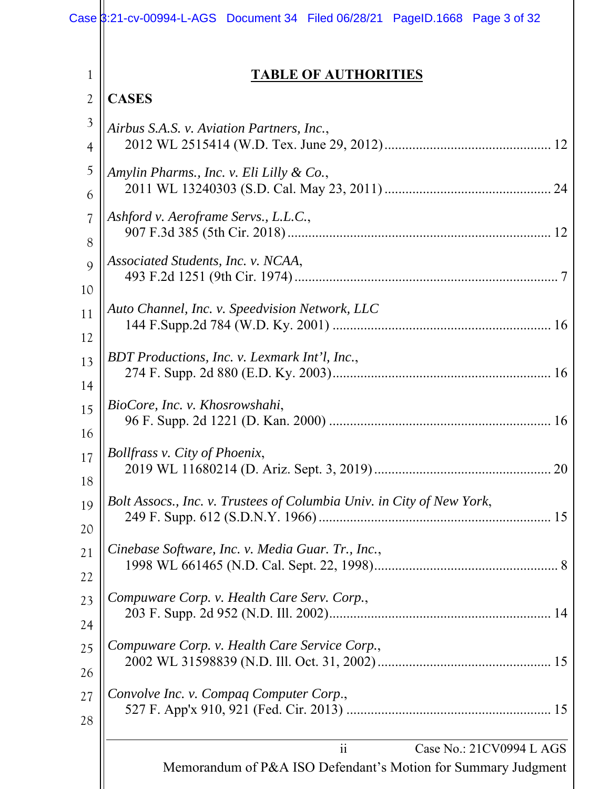| 1              | <b>TABLE OF AUTHORITIES</b>                                                                     |
|----------------|-------------------------------------------------------------------------------------------------|
| $\overline{2}$ | <b>CASES</b>                                                                                    |
| $\mathfrak{Z}$ | Airbus S.A.S. v. Aviation Partners, Inc.,                                                       |
| $\overline{4}$ |                                                                                                 |
| 5              | Amylin Pharms., Inc. v. Eli Lilly & Co.,                                                        |
| 6              |                                                                                                 |
| 7              | Ashford v. Aeroframe Servs., L.L.C.,                                                            |
| 8              |                                                                                                 |
| 9              | Associated Students, Inc. v. NCAA,                                                              |
| 10             | Auto Channel, Inc. v. Speedvision Network, LLC                                                  |
| 11             |                                                                                                 |
| 12             | BDT Productions, Inc. v. Lexmark Int'l, Inc.,                                                   |
| 13             |                                                                                                 |
| 14             | BioCore, Inc. v. Khosrowshahi,                                                                  |
| 15             |                                                                                                 |
| 16             | <b>Bollfrass v. City of Phoenix,</b>                                                            |
| 17             |                                                                                                 |
| 18             | 20                                                                                              |
| 19             | Bolt Assocs., Inc. v. Trustees of Columbia Univ. in City of New York,                           |
| 20             |                                                                                                 |
| 21             | Cinebase Software, Inc. v. Media Guar. Tr., Inc.,                                               |
| 22<br>23<br>24 | Compuware Corp. v. Health Care Serv. Corp.,                                                     |
| 25             | Compuware Corp. v. Health Care Service Corp.,                                                   |
| 26             |                                                                                                 |
| 27             | Convolve Inc. v. Compaq Computer Corp.,                                                         |
| 28             |                                                                                                 |
|                | ii<br>Case No.: 21CV0994 L AGS<br>Memorandum of P&A ISO Defendant's Motion for Summary Judgment |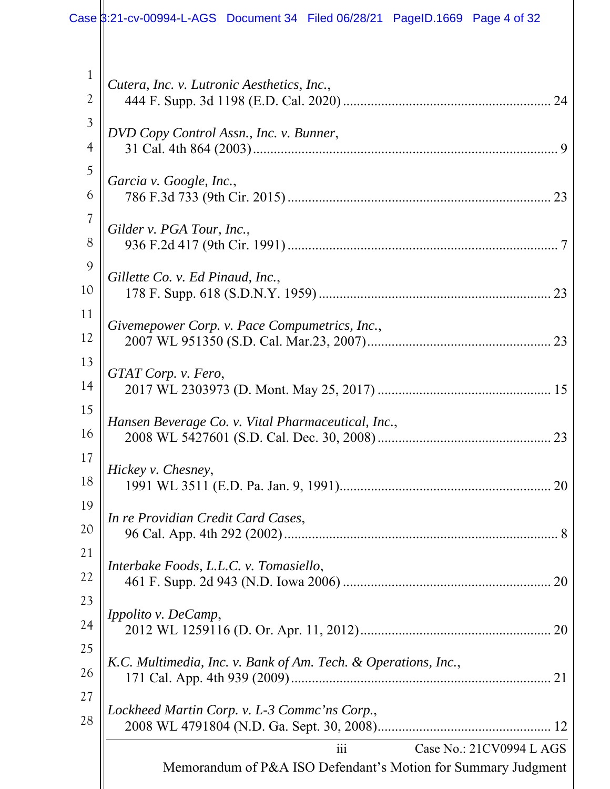| 1                        | Cutera, Inc. v. Lutronic Aesthetics, Inc.,                                                                    |  |
|--------------------------|---------------------------------------------------------------------------------------------------------------|--|
| $\overline{2}$           |                                                                                                               |  |
| 3<br>$\overline{4}$      | DVD Copy Control Assn., Inc. v. Bunner,<br>$\mathbf Q$                                                        |  |
| 5<br>6                   | Garcia v. Google, Inc.,                                                                                       |  |
| $\overline{\mathcal{U}}$ |                                                                                                               |  |
| 8                        | Gilder v. PGA Tour, Inc.,                                                                                     |  |
| 9<br>10                  | Gillette Co. v. Ed Pinaud, Inc.,                                                                              |  |
| 11<br>12                 | Givemepower Corp. v. Pace Compumetrics, Inc.,                                                                 |  |
| 13<br>14                 | GTAT Corp. v. Fero,                                                                                           |  |
| 15<br>16                 | Hansen Beverage Co. v. Vital Pharmaceutical, Inc.,                                                            |  |
| 17<br>18                 | Hickey v. Chesney,                                                                                            |  |
| 19<br>20                 | In re Providian Credit Card Cases,                                                                            |  |
| 21<br>22                 | Interbake Foods, L.L.C. v. Tomasiello,                                                                        |  |
| 23<br>24                 | Ippolito v. DeCamp,                                                                                           |  |
| 25<br>26                 | K.C. Multimedia, Inc. v. Bank of Am. Tech. & Operations, Inc.,                                                |  |
| 27<br>28                 | Lockheed Martin Corp. v. L-3 Commc'ns Corp.,                                                                  |  |
|                          | Case No.: 21CV0994 L AGS<br>$\overline{111}$<br>Memorandum of P&A ISO Defendant's Motion for Summary Judgment |  |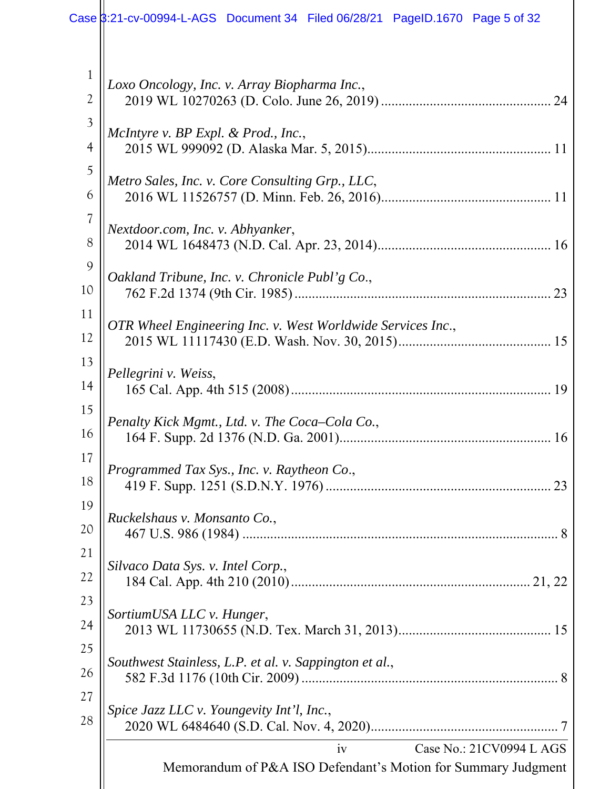| $\mathbf{1}$ | Loxo Oncology, Inc. v. Array Biopharma Inc.,                                                    |
|--------------|-------------------------------------------------------------------------------------------------|
| 2            |                                                                                                 |
| 3            | McIntyre v. BP Expl. & Prod., Inc.,                                                             |
| 4            |                                                                                                 |
| 5            | Metro Sales, Inc. v. Core Consulting Grp., LLC,                                                 |
| 6            |                                                                                                 |
| 7            | Nextdoor.com, Inc. v. Abhyanker,                                                                |
| 8            |                                                                                                 |
| 9            | Oakland Tribune, Inc. v. Chronicle Publ'g Co.,                                                  |
| 10           |                                                                                                 |
| 11           | OTR Wheel Engineering Inc. v. West Worldwide Services Inc.,                                     |
| 12           |                                                                                                 |
| 13           | Pellegrini v. Weiss,                                                                            |
| 14           |                                                                                                 |
| 15           | Penalty Kick Mgmt., Ltd. v. The Coca–Cola Co.,                                                  |
| 16           |                                                                                                 |
| 17<br>18     | Programmed Tax Sys., Inc. v. Raytheon Co.,<br>23                                                |
| 19           | Ruckelshaus v. Monsanto Co.,                                                                    |
| 20           |                                                                                                 |
| 21           | Silvaco Data Sys. v. Intel Corp.,                                                               |
| 22           |                                                                                                 |
| 23           | SortiumUSA LLC v. Hunger,                                                                       |
| 24           |                                                                                                 |
| 25           | Southwest Stainless, L.P. et al. v. Sappington et al.,                                          |
| 26           |                                                                                                 |
| 27           | Spice Jazz LLC v. Youngevity Int'l, Inc.,                                                       |
| 28           |                                                                                                 |
|              | Case No.: 21CV0994 L AGS<br>iv<br>Memorandum of P&A ISO Defendant's Motion for Summary Judgment |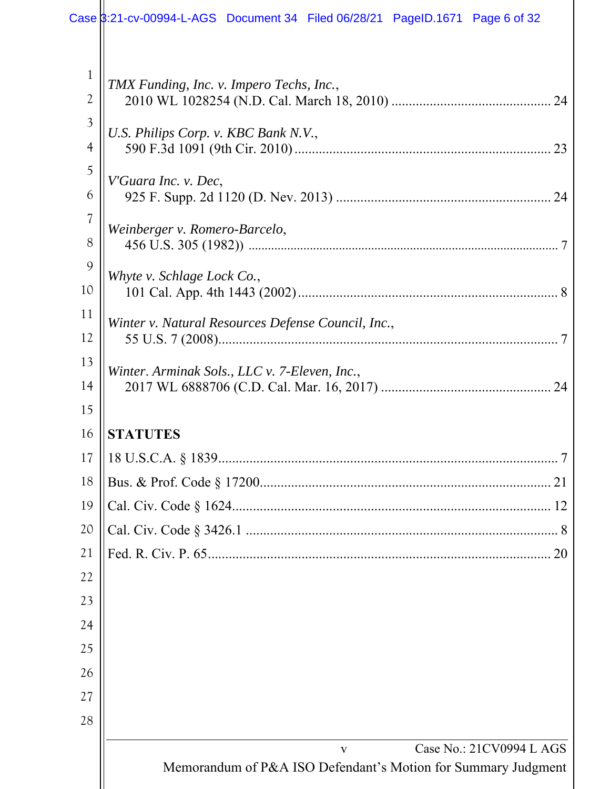|                                                                                                                              | Case \$:21-cv-00994-L-AGS Document 34 Filed 06/28/21 PageID.1671 Page 6 of 32                                                                                                                                                             |
|------------------------------------------------------------------------------------------------------------------------------|-------------------------------------------------------------------------------------------------------------------------------------------------------------------------------------------------------------------------------------------|
| $\mathbf 1$<br>2<br>$\mathfrak{Z}$<br>$\overline{4}$<br>5<br>6<br>$\overline{\mathcal{U}}$<br>8<br>9<br>10<br>11<br>12<br>13 | TMX Funding, Inc. v. Impero Techs, Inc.,<br>U.S. Philips Corp. v. KBC Bank N.V.,<br>23<br>V'Guara Inc. v. Dec,<br>24<br>Weinberger v. Romero-Barcelo,<br>Whyte v. Schlage Lock Co.,<br>Winter v. Natural Resources Defense Council, Inc., |
| 14                                                                                                                           | Winter. Arminak Sols., LLC v. 7-Eleven, Inc.,                                                                                                                                                                                             |
| 15                                                                                                                           |                                                                                                                                                                                                                                           |
| 16                                                                                                                           | <b>STATUTES</b>                                                                                                                                                                                                                           |
| 17                                                                                                                           |                                                                                                                                                                                                                                           |
| 18                                                                                                                           |                                                                                                                                                                                                                                           |
| 19                                                                                                                           |                                                                                                                                                                                                                                           |
| 20                                                                                                                           |                                                                                                                                                                                                                                           |
| 21                                                                                                                           | 20                                                                                                                                                                                                                                        |
| 22                                                                                                                           |                                                                                                                                                                                                                                           |
| 23                                                                                                                           |                                                                                                                                                                                                                                           |
| 24<br>25                                                                                                                     |                                                                                                                                                                                                                                           |
| 26                                                                                                                           |                                                                                                                                                                                                                                           |
| 27                                                                                                                           |                                                                                                                                                                                                                                           |
| 28                                                                                                                           |                                                                                                                                                                                                                                           |
|                                                                                                                              |                                                                                                                                                                                                                                           |
|                                                                                                                              | Case No.: 21CV0994 L AGS<br>V<br>Memorandum of P&A ISO Defendant's Motion for Summary Judgment                                                                                                                                            |
|                                                                                                                              |                                                                                                                                                                                                                                           |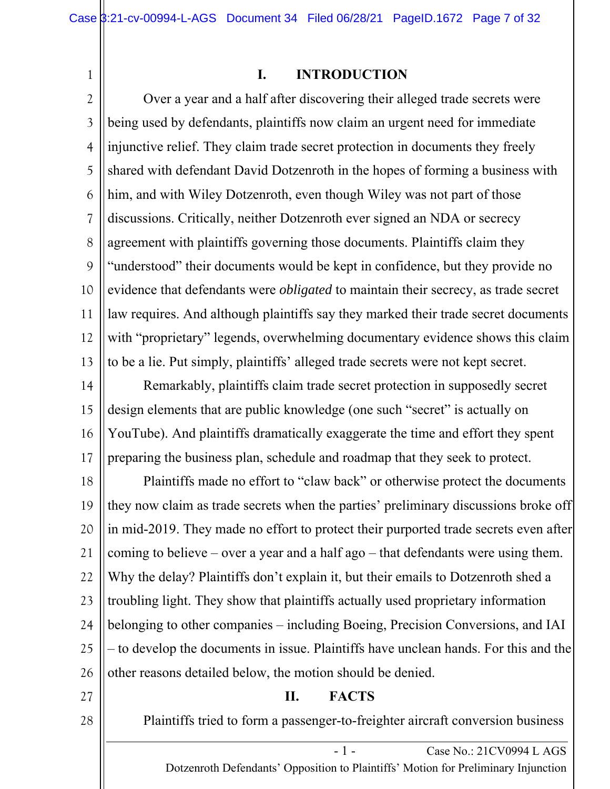1

#### **I. INTRODUCTION**

2 3 4 5 6 7 8 9 10 11 12 13 Over a year and a half after discovering their alleged trade secrets were being used by defendants, plaintiffs now claim an urgent need for immediate injunctive relief. They claim trade secret protection in documents they freely shared with defendant David Dotzenroth in the hopes of forming a business with him, and with Wiley Dotzenroth, even though Wiley was not part of those discussions. Critically, neither Dotzenroth ever signed an NDA or secrecy agreement with plaintiffs governing those documents. Plaintiffs claim they "understood" their documents would be kept in confidence, but they provide no evidence that defendants were *obligated* to maintain their secrecy, as trade secret law requires. And although plaintiffs say they marked their trade secret documents with "proprietary" legends, overwhelming documentary evidence shows this claim to be a lie. Put simply, plaintiffs' alleged trade secrets were not kept secret.

14 15 16 17 Remarkably, plaintiffs claim trade secret protection in supposedly secret design elements that are public knowledge (one such "secret" is actually on YouTube). And plaintiffs dramatically exaggerate the time and effort they spent preparing the business plan, schedule and roadmap that they seek to protect.

18 19 20 21 22 23 24 25 26 Plaintiffs made no effort to "claw back" or otherwise protect the documents they now claim as trade secrets when the parties' preliminary discussions broke off in mid-2019. They made no effort to protect their purported trade secrets even after coming to believe – over a year and a half ago – that defendants were using them. Why the delay? Plaintiffs don't explain it, but their emails to Dotzenroth shed a troubling light. They show that plaintiffs actually used proprietary information belonging to other companies – including Boeing, Precision Conversions, and IAI – to develop the documents in issue. Plaintiffs have unclean hands. For this and the other reasons detailed below, the motion should be denied.

27

#### **II. FACTS**

28

Plaintiffs tried to form a passenger-to-freighter aircraft conversion business

- 1 - Case No.: 21CV0994 L AGS Dotzenroth Defendants' Opposition to Plaintiffs' Motion for Preliminary Injunction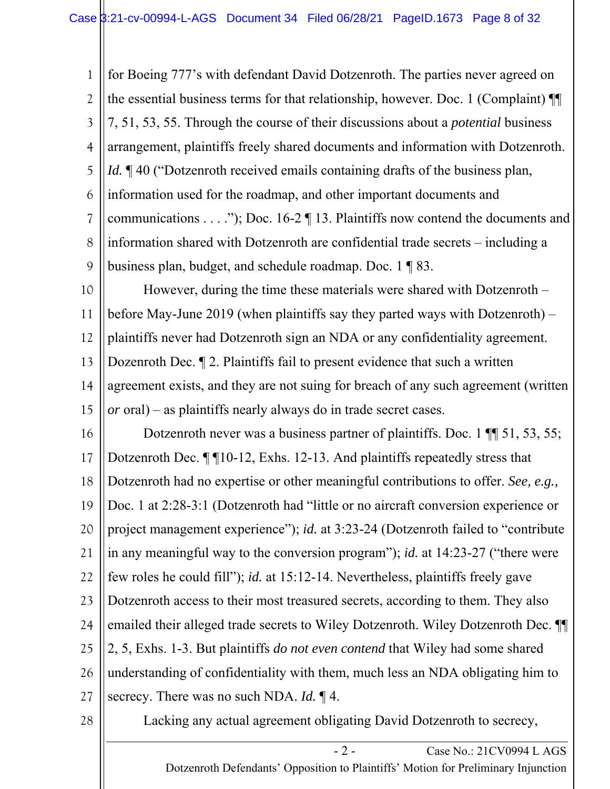1 2 3 4 5 6 7 8 9 for Boeing 777's with defendant David Dotzenroth. The parties never agreed on the essential business terms for that relationship, however. Doc. 1 (Complaint) ¶¶ 7, 51, 53, 55. Through the course of their discussions about a *potential* business arrangement, plaintiffs freely shared documents and information with Dotzenroth. *Id.*  $\mathbb{I}$  40 ("Dotzenroth received emails containing drafts of the business plan, information used for the roadmap, and other important documents and communications . . . ."); Doc. 16-2 ¶ 13. Plaintiffs now contend the documents and information shared with Dotzenroth are confidential trade secrets – including a business plan, budget, and schedule roadmap. Doc. 1 ¶ 83.

10 11 12 13 14 15 However, during the time these materials were shared with Dotzenroth – before May-June 2019 (when plaintiffs say they parted ways with Dotzenroth) – plaintiffs never had Dotzenroth sign an NDA or any confidentiality agreement. Dozenroth Dec. ¶ 2. Plaintiffs fail to present evidence that such a written agreement exists, and they are not suing for breach of any such agreement (written *or* oral) – as plaintiffs nearly always do in trade secret cases.

16 17 18 19 20 21 22 23 24 25 26 27 Dotzenroth never was a business partner of plaintiffs. Doc. 1 ¶¶ 51, 53, 55; Dotzenroth Dec. ¶ ¶10-12, Exhs. 12-13. And plaintiffs repeatedly stress that Dotzenroth had no expertise or other meaningful contributions to offer. *See, e.g.,*  Doc. 1 at 2:28-3:1 (Dotzenroth had "little or no aircraft conversion experience or project management experience"); *id.* at 3:23-24 (Dotzenroth failed to "contribute in any meaningful way to the conversion program"); *id.* at 14:23-27 ("there were few roles he could fill"); *id.* at 15:12-14. Nevertheless, plaintiffs freely gave Dotzenroth access to their most treasured secrets, according to them. They also emailed their alleged trade secrets to Wiley Dotzenroth. Wiley Dotzenroth Dec. ¶¶ 2, 5, Exhs. 1-3. But plaintiffs *do not even contend* that Wiley had some shared understanding of confidentiality with them, much less an NDA obligating him to secrecy. There was no such NDA. *Id.* ¶ 4.

28

Lacking any actual agreement obligating David Dotzenroth to secrecy,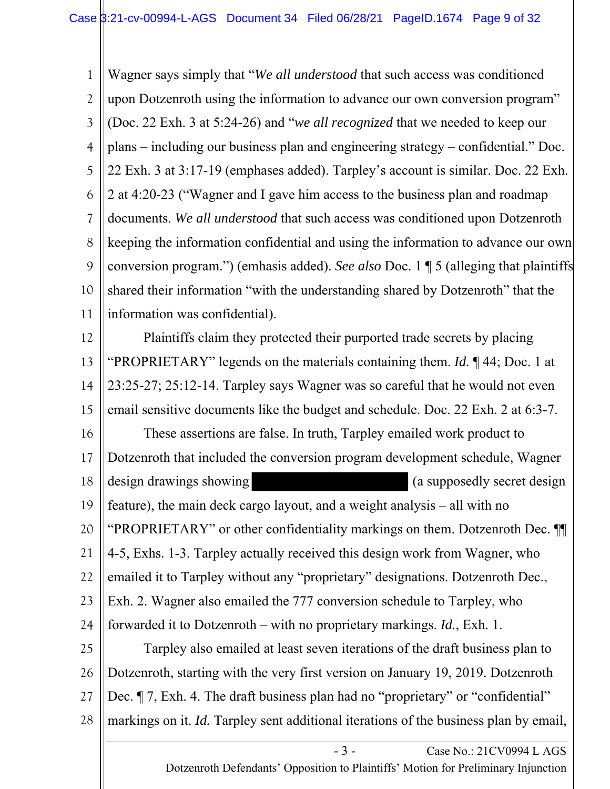1 2 3 4 5 6 7 8 9 10 11 Wagner says simply that "*We all understood* that such access was conditioned upon Dotzenroth using the information to advance our own conversion program" (Doc. 22 Exh. 3 at 5:24-26) and "*we all recognized* that we needed to keep our plans – including our business plan and engineering strategy – confidential." Doc. 22 Exh. 3 at 3:17-19 (emphases added). Tarpley's account is similar. Doc. 22 Exh. 2 at 4:20-23 ("Wagner and I gave him access to the business plan and roadmap documents. *We all understood* that such access was conditioned upon Dotzenroth keeping the information confidential and using the information to advance our own conversion program.") (emhasis added). *See also* Doc. 1 ¶ 5 (alleging that plaintiffs shared their information "with the understanding shared by Dotzenroth" that the information was confidential).

12 13 14 15 16 17 18 19 20 21 22 23 24 25 26 27 28 Plaintiffs claim they protected their purported trade secrets by placing "PROPRIETARY" legends on the materials containing them. *Id.* ¶ 44; Doc. 1 at 23:25-27; 25:12-14. Tarpley says Wagner was so careful that he would not even email sensitive documents like the budget and schedule. Doc. 22 Exh. 2 at 6:3-7. These assertions are false. In truth, Tarpley emailed work product to Dotzenroth that included the conversion program development schedule, Wagner design drawings showing (a supposedly secret design feature), the main deck cargo layout, and a weight analysis – all with no "PROPRIETARY" or other confidentiality markings on them. Dotzenroth Dec. ¶¶ 4-5, Exhs. 1-3. Tarpley actually received this design work from Wagner, who emailed it to Tarpley without any "proprietary" designations. Dotzenroth Dec., Exh. 2. Wagner also emailed the 777 conversion schedule to Tarpley, who forwarded it to Dotzenroth – with no proprietary markings. *Id.*, Exh. 1. Tarpley also emailed at least seven iterations of the draft business plan to Dotzenroth, starting with the very first version on January 19, 2019. Dotzenroth Dec.  $\P$  7, Exh. 4. The draft business plan had no "proprietary" or "confidential" markings on it. *Id.* Tarpley sent additional iterations of the business plan by email,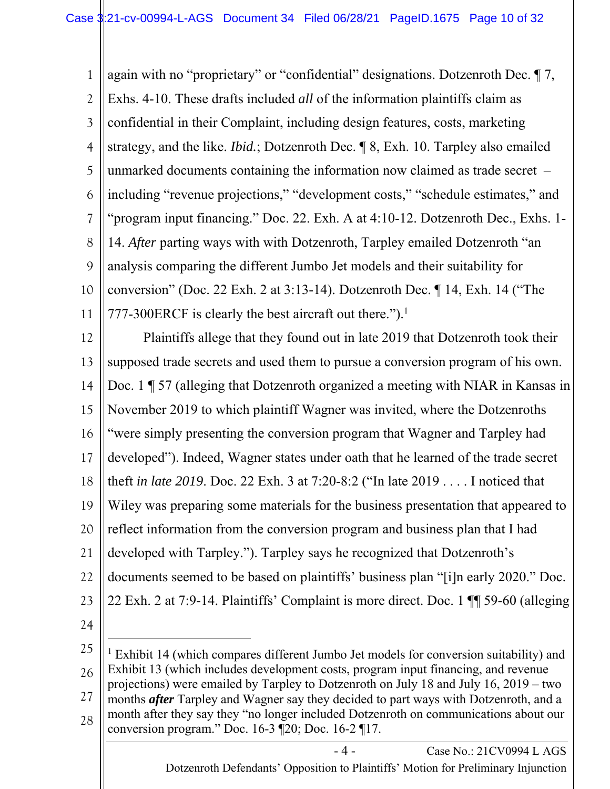1 2 3 4 5 6 7 8 9 10 11 again with no "proprietary" or "confidential" designations. Dotzenroth Dec. ¶ 7, Exhs. 4-10. These drafts included *all* of the information plaintiffs claim as confidential in their Complaint, including design features, costs, marketing strategy, and the like. *Ibid.*; Dotzenroth Dec. ¶ 8, Exh. 10. Tarpley also emailed unmarked documents containing the information now claimed as trade secret – including "revenue projections," "development costs," "schedule estimates," and "program input financing." Doc. 22. Exh. A at 4:10-12. Dotzenroth Dec., Exhs. 1- 14. *After* parting ways with with Dotzenroth, Tarpley emailed Dotzenroth "an analysis comparing the different Jumbo Jet models and their suitability for conversion" (Doc. 22 Exh. 2 at 3:13-14). Dotzenroth Dec. ¶ 14, Exh. 14 ("The 777-300ERCF is clearly the best aircraft out there.").<sup>1</sup>

12 13 14 15 16 17 18 19 20 21 22 23 Plaintiffs allege that they found out in late 2019 that Dotzenroth took their supposed trade secrets and used them to pursue a conversion program of his own. Doc. 1 ¶ 57 (alleging that Dotzenroth organized a meeting with NIAR in Kansas in November 2019 to which plaintiff Wagner was invited, where the Dotzenroths "were simply presenting the conversion program that Wagner and Tarpley had developed"). Indeed, Wagner states under oath that he learned of the trade secret theft *in late 2019*. Doc. 22 Exh. 3 at 7:20-8:2 ("In late 2019 . . . . I noticed that Wiley was preparing some materials for the business presentation that appeared to reflect information from the conversion program and business plan that I had developed with Tarpley."). Tarpley says he recognized that Dotzenroth's documents seemed to be based on plaintiffs' business plan "[i]n early 2020." Doc. 22 Exh. 2 at 7:9-14. Plaintiffs' Complaint is more direct. Doc. 1 ¶¶ 59-60 (alleging

24

25 26 27 28 <sup>1</sup> Exhibit 14 (which compares different Jumbo Jet models for conversion suitability) and Exhibit 13 (which includes development costs, program input financing, and revenue projections) were emailed by Tarpley to Dotzenroth on July 18 and July 16, 2019 – two months *after* Tarpley and Wagner say they decided to part ways with Dotzenroth, and a month after they say they "no longer included Dotzenroth on communications about our conversion program." Doc. 16-3 ¶20; Doc. 16-2 ¶17.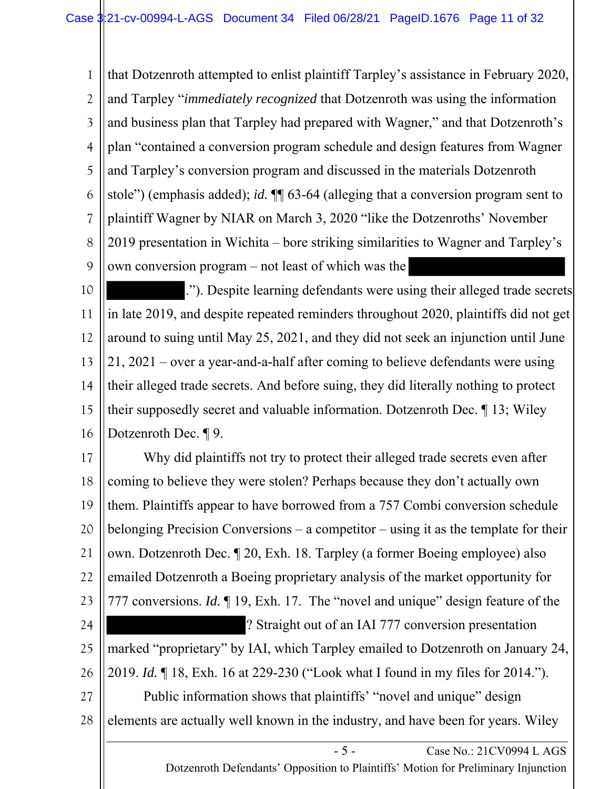1 2 3 4 5 6 7 8 9 that Dotzenroth attempted to enlist plaintiff Tarpley's assistance in February 2020, and Tarpley "*immediately recognized* that Dotzenroth was using the information and business plan that Tarpley had prepared with Wagner," and that Dotzenroth's plan "contained a conversion program schedule and design features from Wagner and Tarpley's conversion program and discussed in the materials Dotzenroth stole") (emphasis added); *id.* ¶¶ 63-64 (alleging that a conversion program sent to plaintiff Wagner by NIAR on March 3, 2020 "like the Dotzenroths' November 2019 presentation in Wichita – bore striking similarities to Wagner and Tarpley's own conversion program – not least of which was the

10 11 12 13 14 15 16 ."). Despite learning defendants were using their alleged trade secrets in late 2019, and despite repeated reminders throughout 2020, plaintiffs did not get around to suing until May 25, 2021, and they did not seek an injunction until June 21, 2021 – over a year-and-a-half after coming to believe defendants were using their alleged trade secrets. And before suing, they did literally nothing to protect their supposedly secret and valuable information. Dotzenroth Dec. ¶ 13; Wiley Dotzenroth Dec. ¶ 9.

- 5 - Case No.: 21CV0994 L AGS 17 18 19 20 21 22 23 24 25 26 27 28 Why did plaintiffs not try to protect their alleged trade secrets even after coming to believe they were stolen? Perhaps because they don't actually own them. Plaintiffs appear to have borrowed from a 757 Combi conversion schedule belonging Precision Conversions – a competitor – using it as the template for their own. Dotzenroth Dec. ¶ 20, Exh. 18. Tarpley (a former Boeing employee) also emailed Dotzenroth a Boeing proprietary analysis of the market opportunity for 777 conversions. *Id.* ¶ 19, Exh. 17. The "novel and unique" design feature of the ? Straight out of an IAI 777 conversion presentation marked "proprietary" by IAI, which Tarpley emailed to Dotzenroth on January 24, 2019. *Id.* ¶ 18, Exh. 16 at 229-230 ("Look what I found in my files for 2014."). Public information shows that plaintiffs' "novel and unique" design elements are actually well known in the industry, and have been for years. Wiley

Dotzenroth Defendants' Opposition to Plaintiffs' Motion for Preliminary Injunction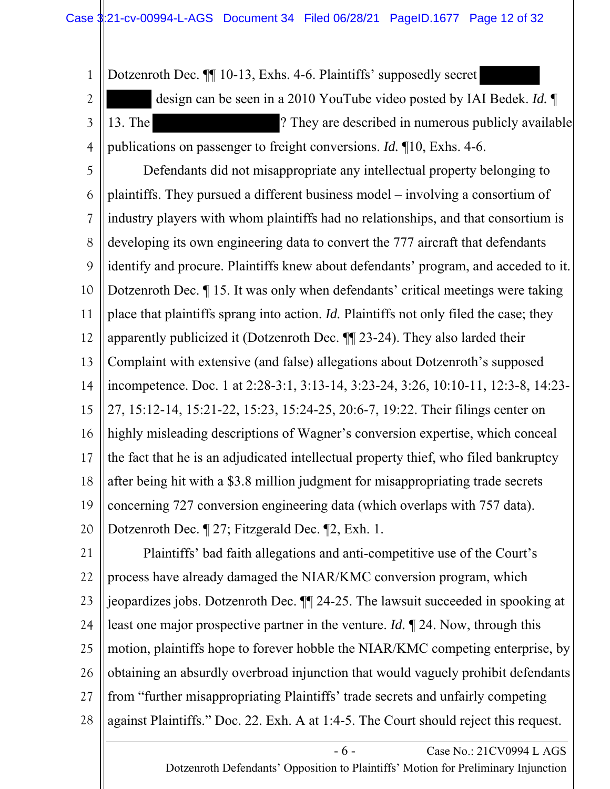1 2 3 4 Dotzenroth Dec. ¶¶ 10-13, Exhs. 4-6. Plaintiffs' supposedly secret design can be seen in a 2010 YouTube video posted by IAI Bedek. *Id.* ¶ 13. The ? They are described in numerous publicly available publications on passenger to freight conversions. *Id.* ¶10, Exhs. 4-6.

5 6 7 8 9 10 11 12 13 14 15 16 17 18 19 20 Defendants did not misappropriate any intellectual property belonging to plaintiffs. They pursued a different business model – involving a consortium of industry players with whom plaintiffs had no relationships, and that consortium is developing its own engineering data to convert the 777 aircraft that defendants identify and procure. Plaintiffs knew about defendants' program, and acceded to it. Dotzenroth Dec. ¶ 15. It was only when defendants' critical meetings were taking place that plaintiffs sprang into action. *Id.* Plaintiffs not only filed the case; they apparently publicized it (Dotzenroth Dec. ¶¶ 23-24). They also larded their Complaint with extensive (and false) allegations about Dotzenroth's supposed incompetence. Doc. 1 at 2:28-3:1, 3:13-14, 3:23-24, 3:26, 10:10-11, 12:3-8, 14:23- 27, 15:12-14, 15:21-22, 15:23, 15:24-25, 20:6-7, 19:22. Their filings center on highly misleading descriptions of Wagner's conversion expertise, which conceal the fact that he is an adjudicated intellectual property thief, who filed bankruptcy after being hit with a \$3.8 million judgment for misappropriating trade secrets concerning 727 conversion engineering data (which overlaps with 757 data). Dotzenroth Dec. ¶ 27; Fitzgerald Dec. ¶2, Exh. 1.

21 22 23 24 25 26 27 28 Plaintiffs' bad faith allegations and anti-competitive use of the Court's process have already damaged the NIAR/KMC conversion program, which jeopardizes jobs. Dotzenroth Dec. ¶¶ 24-25. The lawsuit succeeded in spooking at least one major prospective partner in the venture. *Id.* ¶ 24. Now, through this motion, plaintiffs hope to forever hobble the NIAR/KMC competing enterprise, by obtaining an absurdly overbroad injunction that would vaguely prohibit defendants from "further misappropriating Plaintiffs' trade secrets and unfairly competing against Plaintiffs." Doc. 22. Exh. A at 1:4-5. The Court should reject this request.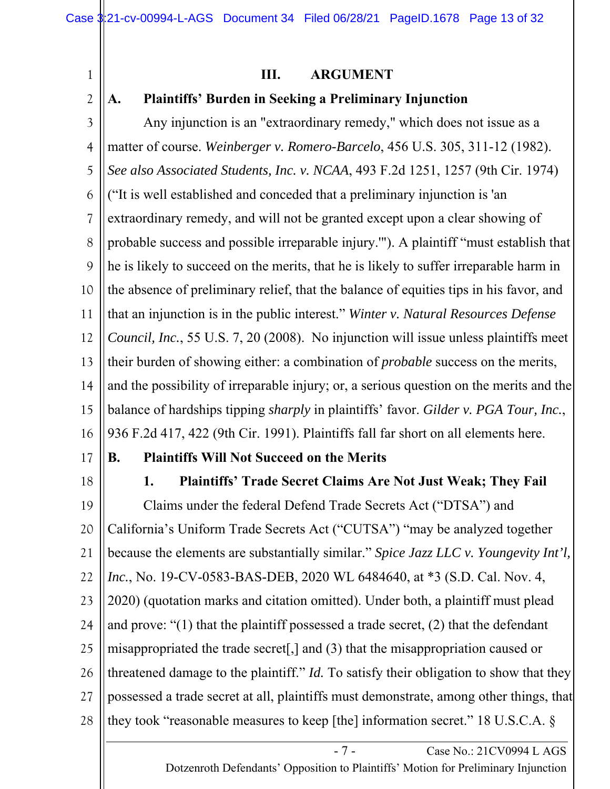1

2

## **III. ARGUMENT**

## **A. Plaintiffs' Burden in Seeking a Preliminary Injunction**

3 4 5 6 7 8 9 10 11 12 13 14 15 16 Any injunction is an "extraordinary remedy," which does not issue as a matter of course. *Weinberger v. Romero-Barcelo*, 456 U.S. 305, 311-12 (1982). *See also Associated Students, Inc. v. NCAA*, 493 F.2d 1251, 1257 (9th Cir. 1974) ("It is well established and conceded that a preliminary injunction is 'an extraordinary remedy, and will not be granted except upon a clear showing of probable success and possible irreparable injury.'"). A plaintiff "must establish that he is likely to succeed on the merits, that he is likely to suffer irreparable harm in the absence of preliminary relief, that the balance of equities tips in his favor, and that an injunction is in the public interest." *Winter v. Natural Resources Defense Council, Inc.*, 55 U.S. 7, 20 (2008). No injunction will issue unless plaintiffs meet their burden of showing either: a combination of *probable* success on the merits, and the possibility of irreparable injury; or, a serious question on the merits and the balance of hardships tipping *sharply* in plaintiffs' favor. *Gilder v. PGA Tour, Inc.*, 936 F.2d 417, 422 (9th Cir. 1991). Plaintiffs fall far short on all elements here.

17

# **B. Plaintiffs Will Not Succeed on the Merits**

18

**1. Plaintiffs' Trade Secret Claims Are Not Just Weak; They Fail**

19 20 21 22 23 24 25 26 27 28 Claims under the federal Defend Trade Secrets Act ("DTSA") and California's Uniform Trade Secrets Act ("CUTSA") "may be analyzed together because the elements are substantially similar." *Spice Jazz LLC v. Youngevity Int'l, Inc.*, No. 19-CV-0583-BAS-DEB, 2020 WL 6484640, at \*3 (S.D. Cal. Nov. 4, 2020) (quotation marks and citation omitted). Under both, a plaintiff must plead and prove: "(1) that the plaintiff possessed a trade secret, (2) that the defendant misappropriated the trade secret[,] and (3) that the misappropriation caused or threatened damage to the plaintiff." *Id.* To satisfy their obligation to show that they possessed a trade secret at all, plaintiffs must demonstrate, among other things, that they took "reasonable measures to keep [the] information secret." 18 U.S.C.A. §

> - 7 - Case No.: 21CV0994 L AGS Dotzenroth Defendants' Opposition to Plaintiffs' Motion for Preliminary Injunction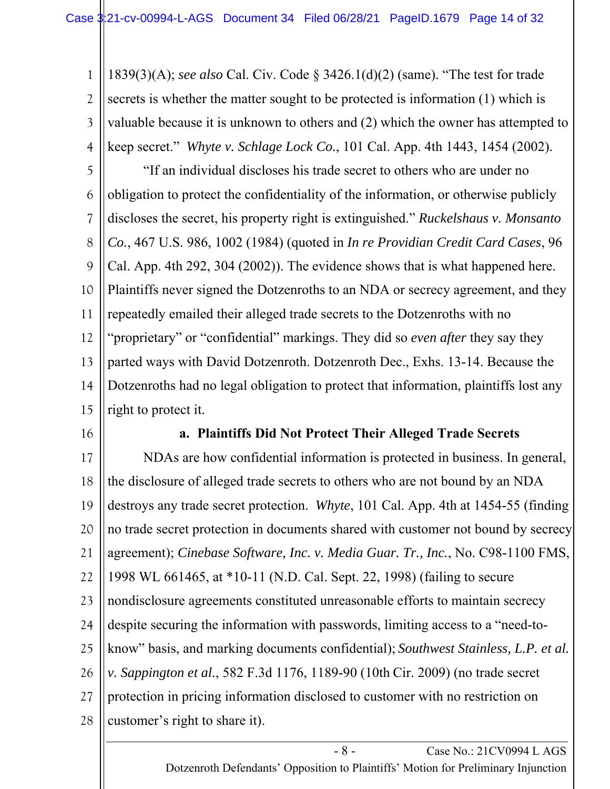1 2 3 4 1839(3)(A); *see also* Cal. Civ. Code § 3426.1(d)(2) (same). "The test for trade secrets is whether the matter sought to be protected is information (1) which is valuable because it is unknown to others and (2) which the owner has attempted to keep secret." *Whyte v. Schlage Lock Co.*, 101 Cal. App. 4th 1443, 1454 (2002).

5 6 7 8 9 10 11 12 13 14 15 "If an individual discloses his trade secret to others who are under no obligation to protect the confidentiality of the information, or otherwise publicly discloses the secret, his property right is extinguished." *Ruckelshaus v. Monsanto Co.*, 467 U.S. 986, 1002 (1984) (quoted in *In re Providian Credit Card Cases*, 96 Cal. App. 4th 292, 304 (2002)). The evidence shows that is what happened here. Plaintiffs never signed the Dotzenroths to an NDA or secrecy agreement, and they repeatedly emailed their alleged trade secrets to the Dotzenroths with no "proprietary" or "confidential" markings. They did so *even after* they say they parted ways with David Dotzenroth. Dotzenroth Dec., Exhs. 13-14. Because the Dotzenroths had no legal obligation to protect that information, plaintiffs lost any right to protect it.

16

#### **a. Plaintiffs Did Not Protect Their Alleged Trade Secrets**

17 18 19 20 21 22 23 24 25 26 27 28 NDAs are how confidential information is protected in business. In general, the disclosure of alleged trade secrets to others who are not bound by an NDA destroys any trade secret protection. *Whyte*, 101 Cal. App. 4th at 1454-55 (finding no trade secret protection in documents shared with customer not bound by secrecy agreement); *Cinebase Software, Inc. v. Media Guar. Tr., Inc.*, No. C98-1100 FMS, 1998 WL 661465, at \*10-11 (N.D. Cal. Sept. 22, 1998) (failing to secure nondisclosure agreements constituted unreasonable efforts to maintain secrecy despite securing the information with passwords, limiting access to a "need-toknow" basis, and marking documents confidential); *Southwest Stainless, L.P. et al. v. Sappington et al.*, 582 F.3d 1176, 1189-90 (10th Cir. 2009) (no trade secret protection in pricing information disclosed to customer with no restriction on customer's right to share it).

> - 8 - Case No.: 21CV0994 L AGS Dotzenroth Defendants' Opposition to Plaintiffs' Motion for Preliminary Injunction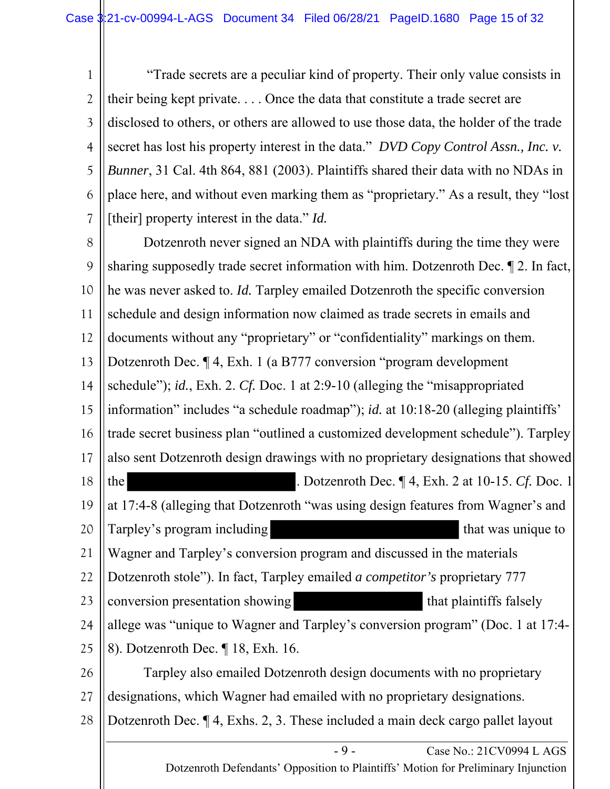1 2 3 4 5 6 7 "Trade secrets are a peculiar kind of property. Their only value consists in their being kept private. . . . Once the data that constitute a trade secret are disclosed to others, or others are allowed to use those data, the holder of the trade secret has lost his property interest in the data." *DVD Copy Control Assn., Inc. v. Bunner*, 31 Cal. 4th 864, 881 (2003). Plaintiffs shared their data with no NDAs in place here, and without even marking them as "proprietary." As a result, they "lost [their] property interest in the data." *Id.* 

- 9 - Case No.: 21CV0994 L AGS 8 9 10 11 12 13 14 15 16 17 18 19 20 21 22 23 24 25 26 27 28 Dotzenroth never signed an NDA with plaintiffs during the time they were sharing supposedly trade secret information with him. Dotzenroth Dec. ¶ 2. In fact, he was never asked to. *Id.* Tarpley emailed Dotzenroth the specific conversion schedule and design information now claimed as trade secrets in emails and documents without any "proprietary" or "confidentiality" markings on them. Dotzenroth Dec. ¶ 4, Exh. 1 (a B777 conversion "program development schedule"); *id.*, Exh. 2. *Cf.* Doc. 1 at 2:9-10 (alleging the "misappropriated information" includes "a schedule roadmap"); *id.* at 10:18-20 (alleging plaintiffs' trade secret business plan "outlined a customized development schedule"). Tarpley also sent Dotzenroth design drawings with no proprietary designations that showed the . Dotzenroth Dec. ¶ 4, Exh. 2 at 10-15. *Cf.* Doc. 1 at 17:4-8 (alleging that Dotzenroth "was using design features from Wagner's and Tarpley's program including that was unique to Wagner and Tarpley's conversion program and discussed in the materials Dotzenroth stole"). In fact, Tarpley emailed *a competitor's* proprietary 777 conversion presentation showing that plaintiffs falsely allege was "unique to Wagner and Tarpley's conversion program" (Doc. 1 at 17:4- 8). Dotzenroth Dec. ¶ 18, Exh. 16. Tarpley also emailed Dotzenroth design documents with no proprietary designations, which Wagner had emailed with no proprietary designations. Dotzenroth Dec. ¶ 4, Exhs. 2, 3. These included a main deck cargo pallet layout

Dotzenroth Defendants' Opposition to Plaintiffs' Motion for Preliminary Injunction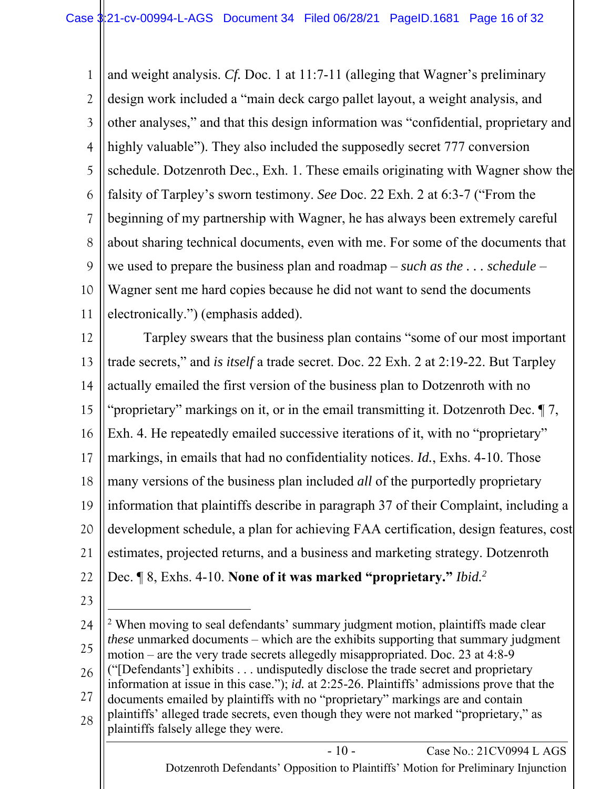1 2 3 4 5 6 7 8 9 10 11 and weight analysis. *Cf.* Doc. 1 at 11:7-11 (alleging that Wagner's preliminary design work included a "main deck cargo pallet layout, a weight analysis, and other analyses," and that this design information was "confidential, proprietary and highly valuable"). They also included the supposedly secret 777 conversion schedule. Dotzenroth Dec., Exh. 1. These emails originating with Wagner show the falsity of Tarpley's sworn testimony. *See* Doc. 22 Exh. 2 at 6:3-7 ("From the beginning of my partnership with Wagner, he has always been extremely careful about sharing technical documents, even with me. For some of the documents that we used to prepare the business plan and roadmap – *such as the . . . schedule* – Wagner sent me hard copies because he did not want to send the documents electronically.") (emphasis added).

12 13 14 15 16 17 18 19 20 21 22 Tarpley swears that the business plan contains "some of our most important trade secrets," and *is itself* a trade secret. Doc. 22 Exh. 2 at 2:19-22. But Tarpley actually emailed the first version of the business plan to Dotzenroth with no "proprietary" markings on it, or in the email transmitting it. Dotzenroth Dec. ¶ 7, Exh. 4. He repeatedly emailed successive iterations of it, with no "proprietary" markings, in emails that had no confidentiality notices. *Id.*, Exhs. 4-10. Those many versions of the business plan included *all* of the purportedly proprietary information that plaintiffs describe in paragraph 37 of their Complaint, including a development schedule, a plan for achieving FAA certification, design features, cost estimates, projected returns, and a business and marketing strategy. Dotzenroth Dec. ¶ 8, Exhs. 4-10. **None of it was marked "proprietary."** *Ibid.2*

23

24 25 26 27 28 <sup>2</sup> When moving to seal defendants' summary judgment motion, plaintiffs made clear *these* unmarked documents – which are the exhibits supporting that summary judgment motion – are the very trade secrets allegedly misappropriated. Doc. 23 at 4:8-9 ("[Defendants'] exhibits . . . undisputedly disclose the trade secret and proprietary information at issue in this case."); *id.* at 2:25-26. Plaintiffs' admissions prove that the documents emailed by plaintiffs with no "proprietary" markings are and contain plaintiffs' alleged trade secrets, even though they were not marked "proprietary," as plaintiffs falsely allege they were.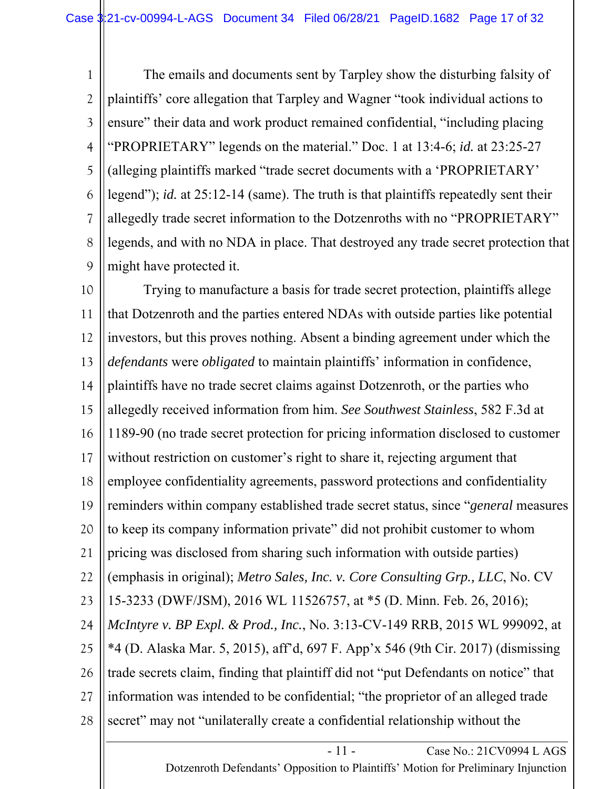1 2 3 4 5 6 7 8 9 The emails and documents sent by Tarpley show the disturbing falsity of plaintiffs' core allegation that Tarpley and Wagner "took individual actions to ensure" their data and work product remained confidential, "including placing "PROPRIETARY" legends on the material." Doc. 1 at 13:4-6; *id.* at 23:25-27 (alleging plaintiffs marked "trade secret documents with a 'PROPRIETARY' legend"); *id.* at 25:12-14 (same). The truth is that plaintiffs repeatedly sent their allegedly trade secret information to the Dotzenroths with no "PROPRIETARY" legends, and with no NDA in place. That destroyed any trade secret protection that might have protected it.

10 11 12 13 14 15 16 17 18 19 20 21 22 23 24 25 26 27 28 Trying to manufacture a basis for trade secret protection, plaintiffs allege that Dotzenroth and the parties entered NDAs with outside parties like potential investors, but this proves nothing. Absent a binding agreement under which the *defendants* were *obligated* to maintain plaintiffs' information in confidence, plaintiffs have no trade secret claims against Dotzenroth, or the parties who allegedly received information from him. *See Southwest Stainless*, 582 F.3d at 1189-90 (no trade secret protection for pricing information disclosed to customer without restriction on customer's right to share it, rejecting argument that employee confidentiality agreements, password protections and confidentiality reminders within company established trade secret status, since "*general* measures to keep its company information private" did not prohibit customer to whom pricing was disclosed from sharing such information with outside parties) (emphasis in original); *Metro Sales, Inc. v. Core Consulting Grp., LLC*, No. CV 15-3233 (DWF/JSM), 2016 WL 11526757, at \*5 (D. Minn. Feb. 26, 2016); *McIntyre v. BP Expl. & Prod., Inc.*, No. 3:13-CV-149 RRB, 2015 WL 999092, at \*4 (D. Alaska Mar. 5, 2015), aff'd, 697 F. App'x 546 (9th Cir. 2017) (dismissing trade secrets claim, finding that plaintiff did not "put Defendants on notice" that information was intended to be confidential; "the proprietor of an alleged trade secret" may not "unilaterally create a confidential relationship without the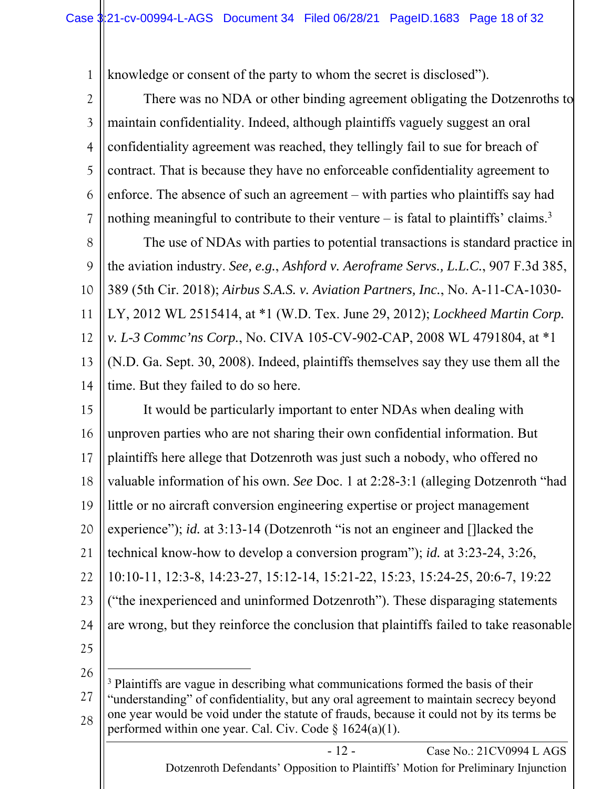1 knowledge or consent of the party to whom the secret is disclosed").

2 3 4 5 6 There was no NDA or other binding agreement obligating the Dotzenroths to maintain confidentiality. Indeed, although plaintiffs vaguely suggest an oral confidentiality agreement was reached, they tellingly fail to sue for breach of contract. That is because they have no enforceable confidentiality agreement to enforce. The absence of such an agreement – with parties who plaintiffs say had

8 9 10 11 12 13 14 The use of NDAs with parties to potential transactions is standard practice in the aviation industry. *See, e.g.*, *Ashford v. Aeroframe Servs., L.L.C.*, 907 F.3d 385, 389 (5th Cir. 2018); *Airbus S.A.S. v. Aviation Partners, Inc.*, No. A-11-CA-1030- LY, 2012 WL 2515414, at \*1 (W.D. Tex. June 29, 2012); *Lockheed Martin Corp. v. L-3 Commc'ns Corp.*, No. CIVA 105-CV-902-CAP, 2008 WL 4791804, at \*1 (N.D. Ga. Sept. 30, 2008). Indeed, plaintiffs themselves say they use them all the time. But they failed to do so here.

nothing meaningful to contribute to their venture  $-$  is fatal to plaintiffs' claims.<sup>3</sup>

15 16 17 18 19 20 21 22 23 24 25 It would be particularly important to enter NDAs when dealing with unproven parties who are not sharing their own confidential information. But plaintiffs here allege that Dotzenroth was just such a nobody, who offered no valuable information of his own. *See* Doc. 1 at 2:28-3:1 (alleging Dotzenroth "had little or no aircraft conversion engineering expertise or project management experience"); *id.* at 3:13-14 (Dotzenroth "is not an engineer and [] lacked the technical know-how to develop a conversion program"); *id.* at 3:23-24, 3:26, 10:10-11, 12:3-8, 14:23-27, 15:12-14, 15:21-22, 15:23, 15:24-25, 20:6-7, 19:22 ("the inexperienced and uninformed Dotzenroth"). These disparaging statements are wrong, but they reinforce the conclusion that plaintiffs failed to take reasonable

26

7

27 28 <sup>3</sup> Plaintiffs are vague in describing what communications formed the basis of their "understanding" of confidentiality, but any oral agreement to maintain secrecy beyond one year would be void under the statute of frauds, because it could not by its terms be performed within one year. Cal. Civ. Code  $\S 1624(a)(1)$ .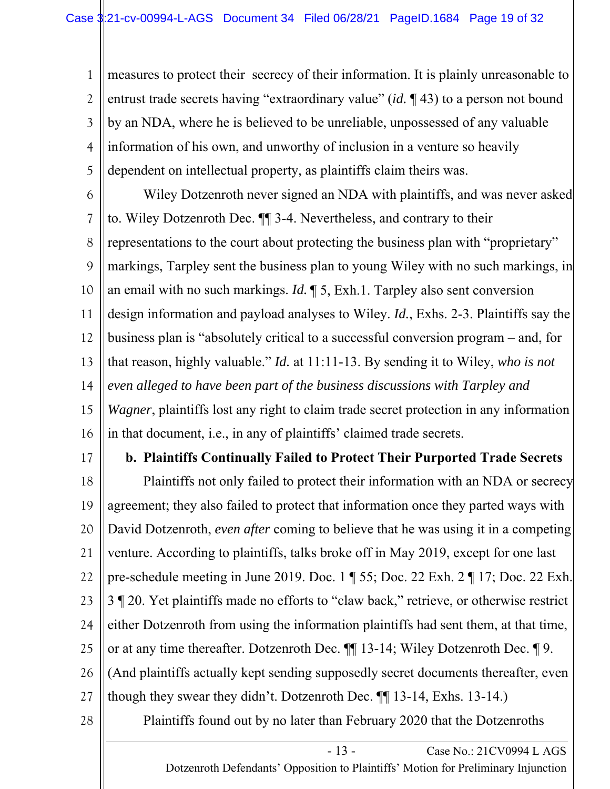1 2 3 4 5 measures to protect their secrecy of their information. It is plainly unreasonable to entrust trade secrets having "extraordinary value" (*id.* ¶ 43) to a person not bound by an NDA, where he is believed to be unreliable, unpossessed of any valuable information of his own, and unworthy of inclusion in a venture so heavily dependent on intellectual property, as plaintiffs claim theirs was.

6 7 8 9 10 11 12 13 14 15 16 Wiley Dotzenroth never signed an NDA with plaintiffs, and was never asked to. Wiley Dotzenroth Dec. ¶¶ 3-4. Nevertheless, and contrary to their representations to the court about protecting the business plan with "proprietary" markings, Tarpley sent the business plan to young Wiley with no such markings, in an email with no such markings. *Id.* ¶ 5, Exh.1. Tarpley also sent conversion design information and payload analyses to Wiley. *Id.*, Exhs. 2-3. Plaintiffs say the business plan is "absolutely critical to a successful conversion program – and, for that reason, highly valuable." *Id.* at 11:11-13. By sending it to Wiley, *who is not even alleged to have been part of the business discussions with Tarpley and Wagner*, plaintiffs lost any right to claim trade secret protection in any information in that document, i.e., in any of plaintiffs' claimed trade secrets.

17

## **b. Plaintiffs Continually Failed to Protect Their Purported Trade Secrets**

18 19 20 21 22 23 24 25 26 27 Plaintiffs not only failed to protect their information with an NDA or secrecy agreement; they also failed to protect that information once they parted ways with David Dotzenroth, *even after* coming to believe that he was using it in a competing venture. According to plaintiffs, talks broke off in May 2019, except for one last pre-schedule meeting in June 2019. Doc. 1 ¶ 55; Doc. 22 Exh. 2 ¶ 17; Doc. 22 Exh. 3 ¶ 20. Yet plaintiffs made no efforts to "claw back," retrieve, or otherwise restrict either Dotzenroth from using the information plaintiffs had sent them, at that time, or at any time thereafter. Dotzenroth Dec. ¶¶ 13-14; Wiley Dotzenroth Dec. ¶ 9. (And plaintiffs actually kept sending supposedly secret documents thereafter, even though they swear they didn't. Dotzenroth Dec. ¶¶ 13-14, Exhs. 13-14.)

28

Plaintiffs found out by no later than February 2020 that the Dotzenroths

Dotzenroth Defendants' Opposition to Plaintiffs' Motion for Preliminary Injunction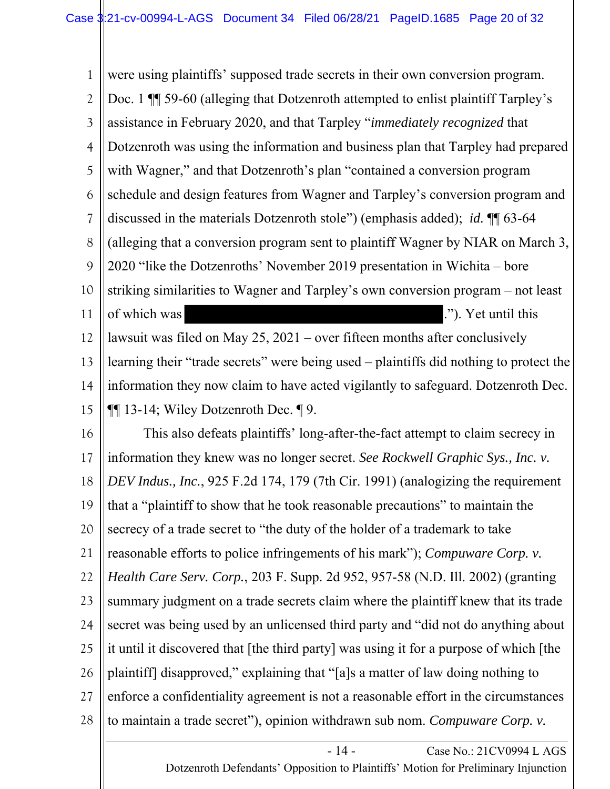1 2 3 4 5 6 7 8 9 10 11 12 13 14 15 16 17 18 19 20 21 22 23 24 25 26 27 28 were using plaintiffs' supposed trade secrets in their own conversion program. Doc. 1  $\P$  59-60 (alleging that Dotzenroth attempted to enlist plaintiff Tarpley's assistance in February 2020, and that Tarpley "*immediately recognized* that Dotzenroth was using the information and business plan that Tarpley had prepared with Wagner," and that Dotzenroth's plan "contained a conversion program schedule and design features from Wagner and Tarpley's conversion program and discussed in the materials Dotzenroth stole") (emphasis added); *id.* ¶¶ 63-64 (alleging that a conversion program sent to plaintiff Wagner by NIAR on March 3, 2020 "like the Dotzenroths' November 2019 presentation in Wichita – bore striking similarities to Wagner and Tarpley's own conversion program – not least of which was ."). Yet until this lawsuit was filed on May 25, 2021 – over fifteen months after conclusively learning their "trade secrets" were being used – plaintiffs did nothing to protect the information they now claim to have acted vigilantly to safeguard. Dotzenroth Dec. ¶¶ 13-14; Wiley Dotzenroth Dec. ¶ 9. This also defeats plaintiffs' long-after-the-fact attempt to claim secrecy in information they knew was no longer secret. *See Rockwell Graphic Sys., Inc. v. DEV Indus., Inc.*, 925 F.2d 174, 179 (7th Cir. 1991) (analogizing the requirement that a "plaintiff to show that he took reasonable precautions" to maintain the secrecy of a trade secret to "the duty of the holder of a trademark to take reasonable efforts to police infringements of his mark"); *Compuware Corp. v. Health Care Serv. Corp.*, 203 F. Supp. 2d 952, 957-58 (N.D. Ill. 2002) (granting summary judgment on a trade secrets claim where the plaintiff knew that its trade secret was being used by an unlicensed third party and "did not do anything about it until it discovered that [the third party] was using it for a purpose of which [the plaintiff] disapproved," explaining that "[a]s a matter of law doing nothing to enforce a confidentiality agreement is not a reasonable effort in the circumstances to maintain a trade secret"), opinion withdrawn sub nom. *Compuware Corp. v.* 

> - 14 - Case No.: 21CV0994 L AGS Dotzenroth Defendants' Opposition to Plaintiffs' Motion for Preliminary Injunction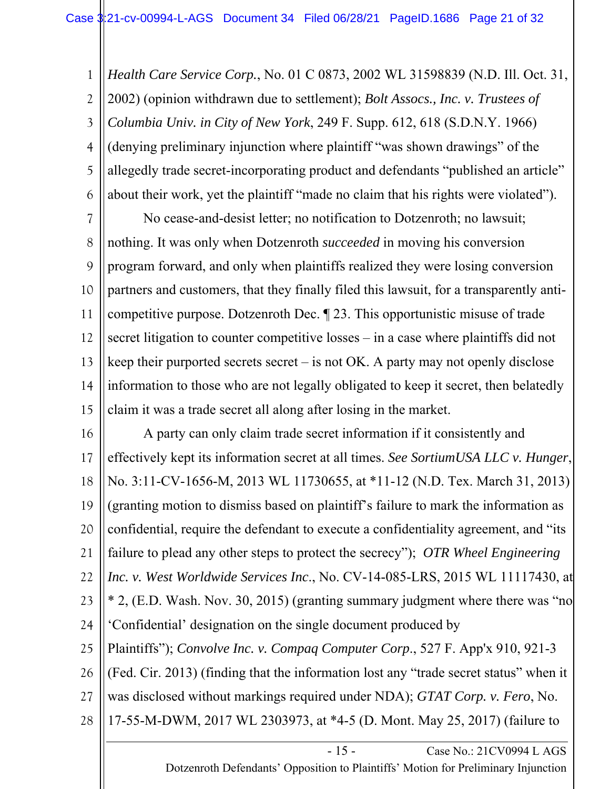1 2 3 4 5 6 *Health Care Service Corp.*, No. 01 C 0873, 2002 WL 31598839 (N.D. Ill. Oct. 31, 2002) (opinion withdrawn due to settlement); *Bolt Assocs., Inc. v. Trustees of Columbia Univ. in City of New York*, 249 F. Supp. 612, 618 (S.D.N.Y. 1966) (denying preliminary injunction where plaintiff "was shown drawings" of the allegedly trade secret-incorporating product and defendants "published an article" about their work, yet the plaintiff "made no claim that his rights were violated").

7 8 9 10 11 12 13 14 15 No cease-and-desist letter; no notification to Dotzenroth; no lawsuit; nothing. It was only when Dotzenroth *succeeded* in moving his conversion program forward, and only when plaintiffs realized they were losing conversion partners and customers, that they finally filed this lawsuit, for a transparently anticompetitive purpose. Dotzenroth Dec. ¶ 23. This opportunistic misuse of trade secret litigation to counter competitive losses – in a case where plaintiffs did not keep their purported secrets secret – is not OK. A party may not openly disclose information to those who are not legally obligated to keep it secret, then belatedly claim it was a trade secret all along after losing in the market.

16 17 18 19 20 21 22 23 24 25 26 27 28 A party can only claim trade secret information if it consistently and effectively kept its information secret at all times. *See SortiumUSA LLC v. Hunger*, No. 3:11-CV-1656-M, 2013 WL 11730655, at \*11-12 (N.D. Tex. March 31, 2013) (granting motion to dismiss based on plaintiff's failure to mark the information as confidential, require the defendant to execute a confidentiality agreement, and "its failure to plead any other steps to protect the secrecy"); *OTR Wheel Engineering Inc. v. West Worldwide Services Inc*., No. CV-14-085-LRS, 2015 WL 11117430, at \* 2, (E.D. Wash. Nov. 30, 2015) (granting summary judgment where there was "no 'Confidential' designation on the single document produced by Plaintiffs"); *Convolve Inc. v. Compaq Computer Corp*., 527 F. App'x 910, 921-3 (Fed. Cir. 2013) (finding that the information lost any "trade secret status" when it was disclosed without markings required under NDA); *GTAT Corp. v. Fero*, No. 17-55-M-DWM, 2017 WL 2303973, at \*4-5 (D. Mont. May 25, 2017) (failure to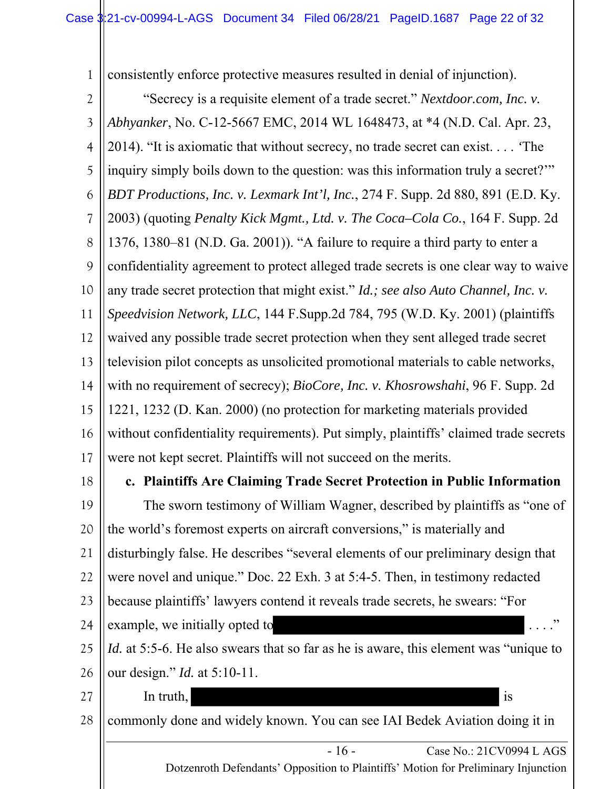1 consistently enforce protective measures resulted in denial of injunction).

- 16 - Case No.: 21CV0994 L AGS Dotzenroth Defendants' Opposition to Plaintiffs' Motion for Preliminary Injunction 2 3 4 5 6 7 8 9 10 11 12 13 14 15 16 17 18 19 20 21 22 23 24 25 26 27 28 "Secrecy is a requisite element of a trade secret." *Nextdoor.com, Inc. v. Abhyanker*, No. C-12-5667 EMC, 2014 WL 1648473, at \*4 (N.D. Cal. Apr. 23, 2014). "It is axiomatic that without secrecy, no trade secret can exist. . . . *'*The inquiry simply boils down to the question: was this information truly a secret?'" *BDT Productions, Inc. v. Lexmark Int'l, Inc.*, 274 F. Supp. 2d 880, 891 (E.D. Ky. 2003) (quoting *Penalty Kick Mgmt., Ltd. v. The Coca–Cola Co.*, 164 F. Supp. 2d 1376, 1380–81 (N.D. Ga. 2001)). "A failure to require a third party to enter a confidentiality agreement to protect alleged trade secrets is one clear way to waive any trade secret protection that might exist." *Id.; see also Auto Channel, Inc. v. Speedvision Network, LLC*, 144 F.Supp.2d 784, 795 (W.D. Ky. 2001) (plaintiffs waived any possible trade secret protection when they sent alleged trade secret television pilot concepts as unsolicited promotional materials to cable networks, with no requirement of secrecy); *BioCore, Inc. v. Khosrowshahi*, 96 F. Supp. 2d 1221, 1232 (D. Kan. 2000) (no protection for marketing materials provided without confidentiality requirements). Put simply, plaintiffs' claimed trade secrets were not kept secret. Plaintiffs will not succeed on the merits. **c. Plaintiffs Are Claiming Trade Secret Protection in Public Information**  The sworn testimony of William Wagner, described by plaintiffs as "one of the world's foremost experts on aircraft conversions," is materially and disturbingly false. He describes "several elements of our preliminary design that were novel and unique." Doc. 22 Exh. 3 at 5:4-5. Then, in testimony redacted because plaintiffs' lawyers contend it reveals trade secrets, he swears: "For example, we initially opted to *Id.* at 5:5-6. He also swears that so far as he is aware, this element was "unique to our design." *Id.* at 5:10-11. In truth, commonly done and widely known. You can see IAI Bedek Aviation doing it in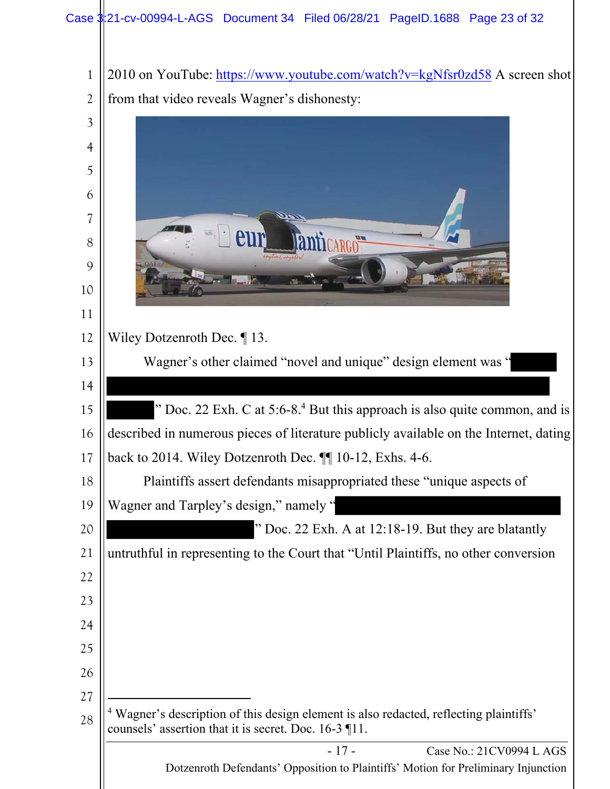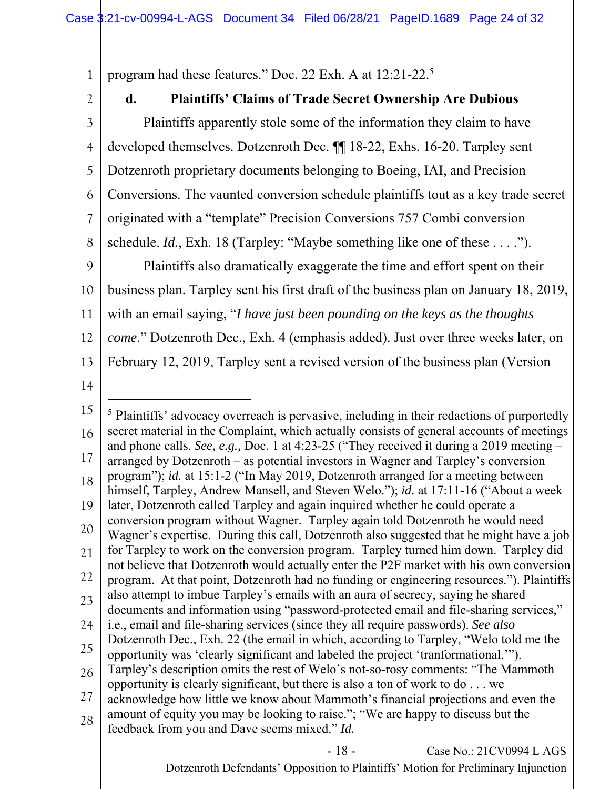1 program had these features." Doc. 22 Exh. A at 12:21-22.5

2

# **d. Plaintiffs' Claims of Trade Secret Ownership Are Dubious**

3 4 5 6 7 8 9 10 11 12 13 Plaintiffs apparently stole some of the information they claim to have developed themselves. Dotzenroth Dec. ¶¶ 18-22, Exhs. 16-20. Tarpley sent Dotzenroth proprietary documents belonging to Boeing, IAI, and Precision Conversions. The vaunted conversion schedule plaintiffs tout as a key trade secret originated with a "template" Precision Conversions 757 Combi conversion schedule. *Id.*, Exh. 18 (Tarpley: "Maybe something like one of these . . . ."). Plaintiffs also dramatically exaggerate the time and effort spent on their business plan. Tarpley sent his first draft of the business plan on January 18, 2019, with an email saying, "*I have just been pounding on the keys as the thoughts come*." Dotzenroth Dec., Exh. 4 (emphasis added). Just over three weeks later, on February 12, 2019, Tarpley sent a revised version of the business plan (Version

14

<sup>- 18 -</sup> Case No.: 21CV0994 L AGS Dotzenroth Defendants' Opposition to Plaintiffs' Motion for Preliminary Injunction 15 16 17 18 19 20 21 22 23 24 25 26 27 28 <sup>5</sup> Plaintiffs' advocacy overreach is pervasive, including in their redactions of purportedly secret material in the Complaint, which actually consists of general accounts of meetings and phone calls. *See, e.g.,* Doc. 1 at 4:23-25 ("They received it during a 2019 meeting – arranged by Dotzenroth – as potential investors in Wagner and Tarpley's conversion program"); *id.* at 15:1-2 ("In May 2019, Dotzenroth arranged for a meeting between himself, Tarpley, Andrew Mansell, and Steven Welo."); *id.* at 17:11-16 ("About a week later, Dotzenroth called Tarpley and again inquired whether he could operate a conversion program without Wagner. Tarpley again told Dotzenroth he would need Wagner's expertise. During this call, Dotzenroth also suggested that he might have a job for Tarpley to work on the conversion program. Tarpley turned him down. Tarpley did not believe that Dotzenroth would actually enter the P2F market with his own conversion program. At that point, Dotzenroth had no funding or engineering resources."). Plaintiffs also attempt to imbue Tarpley's emails with an aura of secrecy, saying he shared documents and information using "password-protected email and file-sharing services," i.e., email and file-sharing services (since they all require passwords). *See also* Dotzenroth Dec., Exh. 22 (the email in which, according to Tarpley, "Welo told me the opportunity was 'clearly significant and labeled the project 'tranformational.'"). Tarpley's description omits the rest of Welo's not-so-rosy comments: "The Mammoth opportunity is clearly significant, but there is also a ton of work to do . . . we acknowledge how little we know about Mammoth's financial projections and even the amount of equity you may be looking to raise."; "We are happy to discuss but the feedback from you and Dave seems mixed." *Id.*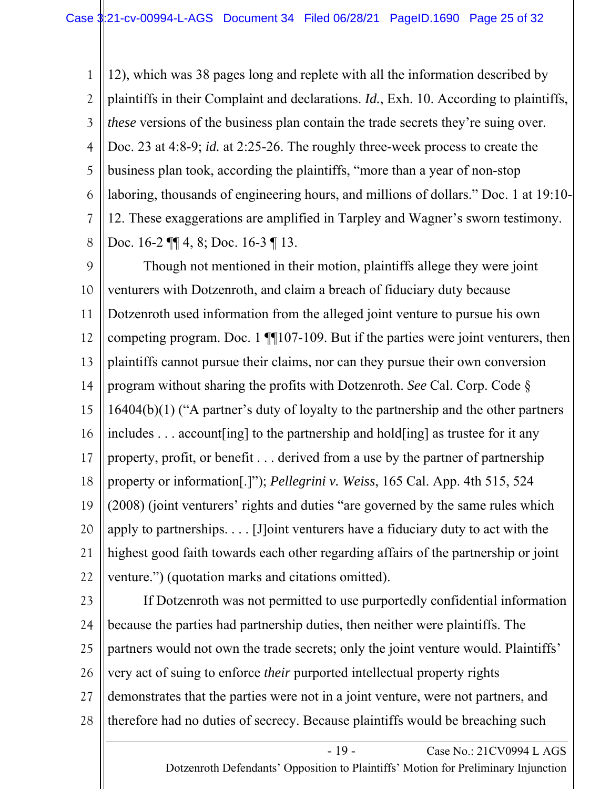1 2 3 4 5 6 7 8 12), which was 38 pages long and replete with all the information described by plaintiffs in their Complaint and declarations. *Id.*, Exh. 10. According to plaintiffs, *these* versions of the business plan contain the trade secrets they're suing over. Doc. 23 at 4:8-9; *id.* at 2:25-26. The roughly three-week process to create the business plan took, according the plaintiffs, "more than a year of non-stop laboring, thousands of engineering hours, and millions of dollars." Doc. 1 at 19:10- 12. These exaggerations are amplified in Tarpley and Wagner's sworn testimony. Doc. 16-2 ¶ 4, 8; Doc. 16-3 ¶ 13.

9 10 11 12 13 14 15 16 17 18 19 20 21 22 Though not mentioned in their motion, plaintiffs allege they were joint venturers with Dotzenroth, and claim a breach of fiduciary duty because Dotzenroth used information from the alleged joint venture to pursue his own competing program. Doc. 1 [[107-109. But if the parties were joint venturers, then plaintiffs cannot pursue their claims, nor can they pursue their own conversion program without sharing the profits with Dotzenroth. *See* Cal. Corp. Code § 16404(b)(1) ("A partner's duty of loyalty to the partnership and the other partners includes . . . account[ing] to the partnership and hold[ing] as trustee for it any property, profit, or benefit . . . derived from a use by the partner of partnership property or information[.]"); *Pellegrini v. Weiss*, 165 Cal. App. 4th 515, 524 (2008) (joint venturers' rights and duties "are governed by the same rules which apply to partnerships. . . . [J]oint venturers have a fiduciary duty to act with the highest good faith towards each other regarding affairs of the partnership or joint venture.") (quotation marks and citations omitted).

23

24 25 26 27 28 If Dotzenroth was not permitted to use purportedly confidential information because the parties had partnership duties, then neither were plaintiffs. The partners would not own the trade secrets; only the joint venture would. Plaintiffs' very act of suing to enforce *their* purported intellectual property rights demonstrates that the parties were not in a joint venture, were not partners, and therefore had no duties of secrecy. Because plaintiffs would be breaching such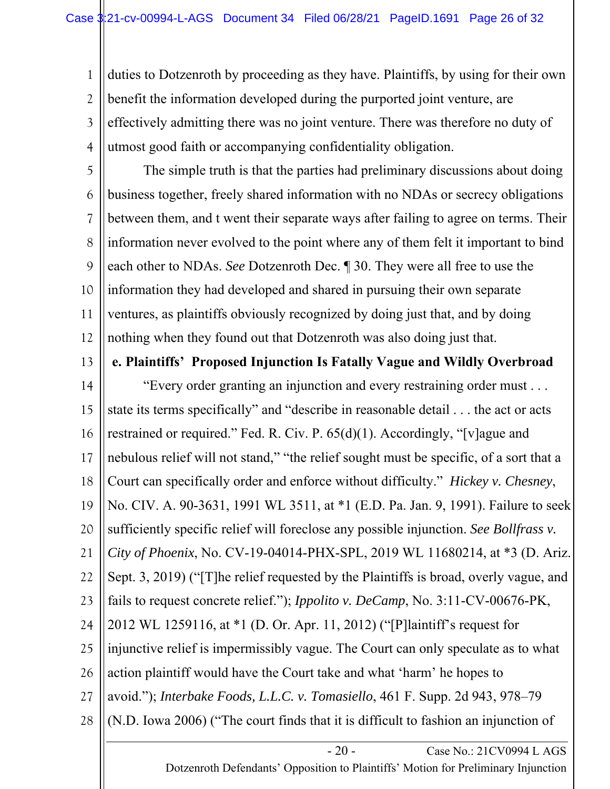1 2 3 4 duties to Dotzenroth by proceeding as they have. Plaintiffs, by using for their own benefit the information developed during the purported joint venture, are effectively admitting there was no joint venture. There was therefore no duty of utmost good faith or accompanying confidentiality obligation.

5 6 7 8 9 10 11 12 The simple truth is that the parties had preliminary discussions about doing business together, freely shared information with no NDAs or secrecy obligations between them, and t went their separate ways after failing to agree on terms. Their information never evolved to the point where any of them felt it important to bind each other to NDAs. *See* Dotzenroth Dec. ¶ 30. They were all free to use the information they had developed and shared in pursuing their own separate ventures, as plaintiffs obviously recognized by doing just that, and by doing nothing when they found out that Dotzenroth was also doing just that.

13

**e. Plaintiffs' Proposed Injunction Is Fatally Vague and Wildly Overbroad** 

14 15 16 17 18 19 20 21 22 23 24 25 26 27 28 "Every order granting an injunction and every restraining order must . . . state its terms specifically" and "describe in reasonable detail . . . the act or acts restrained or required." Fed. R. Civ. P. 65(d)(1). Accordingly, "[v]ague and nebulous relief will not stand," "the relief sought must be specific, of a sort that a Court can specifically order and enforce without difficulty." *Hickey v. Chesney*, No. CIV. A. 90-3631, 1991 WL 3511, at \*1 (E.D. Pa. Jan. 9, 1991). Failure to seek sufficiently specific relief will foreclose any possible injunction. *See Bollfrass v. City of Phoenix*, No. CV-19-04014-PHX-SPL, 2019 WL 11680214, at \*3 (D. Ariz. Sept. 3, 2019) ("[T]he relief requested by the Plaintiffs is broad, overly vague, and fails to request concrete relief."); *Ippolito v. DeCamp*, No. 3:11-CV-00676-PK, 2012 WL 1259116, at \*1 (D. Or. Apr. 11, 2012) ("[P]laintiff's request for injunctive relief is impermissibly vague. The Court can only speculate as to what action plaintiff would have the Court take and what 'harm' he hopes to avoid."); *Interbake Foods, L.L.C. v. Tomasiello*, 461 F. Supp. 2d 943, 978–79 (N.D. Iowa 2006) ("The court finds that it is difficult to fashion an injunction of

> - 20 - Case No.: 21CV0994 L AGS Dotzenroth Defendants' Opposition to Plaintiffs' Motion for Preliminary Injunction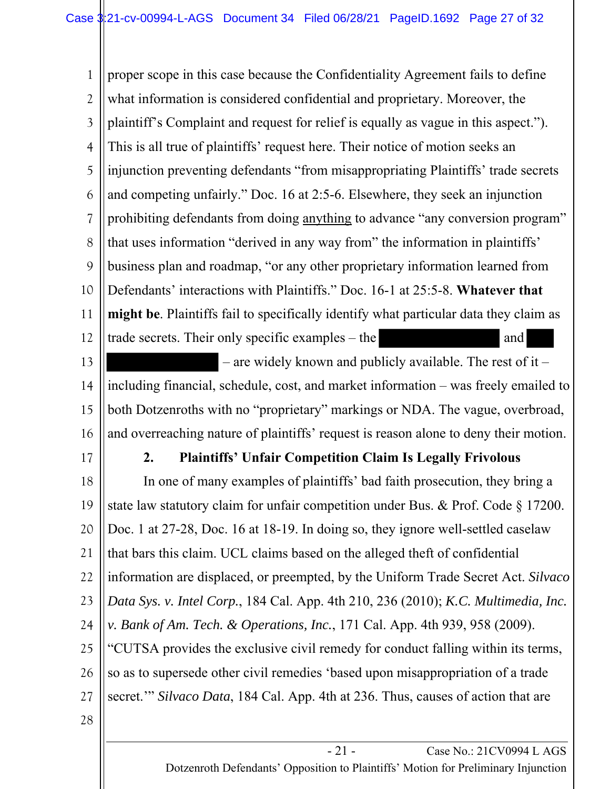1 2 3 4 5 6 7 8 9 10 11 12 proper scope in this case because the Confidentiality Agreement fails to define what information is considered confidential and proprietary. Moreover, the plaintiff's Complaint and request for relief is equally as vague in this aspect."). This is all true of plaintiffs' request here. Their notice of motion seeks an injunction preventing defendants "from misappropriating Plaintiffs' trade secrets and competing unfairly." Doc. 16 at 2:5-6. Elsewhere, they seek an injunction prohibiting defendants from doing anything to advance "any conversion program" that uses information "derived in any way from" the information in plaintiffs' business plan and roadmap, "or any other proprietary information learned from Defendants' interactions with Plaintiffs." Doc. 16-1 at 25:5-8. **Whatever that might be**. Plaintiffs fail to specifically identify what particular data they claim as trade secrets. Their only specific examples – the and and

13 14 15 16 – are widely known and publicly available. The rest of it – including financial, schedule, cost, and market information – was freely emailed to both Dotzenroths with no "proprietary" markings or NDA. The vague, overbroad, and overreaching nature of plaintiffs' request is reason alone to deny their motion.

17

#### **2. Plaintiffs' Unfair Competition Claim Is Legally Frivolous**

18 19 20 21 22 23 24 25 26 27 In one of many examples of plaintiffs' bad faith prosecution, they bring a state law statutory claim for unfair competition under Bus. & Prof. Code § 17200. Doc. 1 at 27-28, Doc. 16 at 18-19. In doing so, they ignore well-settled caselaw that bars this claim. UCL claims based on the alleged theft of confidential information are displaced, or preempted, by the Uniform Trade Secret Act. *Silvaco Data Sys. v. Intel Corp.*, 184 Cal. App. 4th 210, 236 (2010); *K.C. Multimedia, Inc. v. Bank of Am. Tech. & Operations, Inc.*, 171 Cal. App. 4th 939, 958 (2009). "CUTSA provides the exclusive civil remedy for conduct falling within its terms, so as to supersede other civil remedies 'based upon misappropriation of a trade secret.'" *Silvaco Data*, 184 Cal. App. 4th at 236. Thus, causes of action that are

28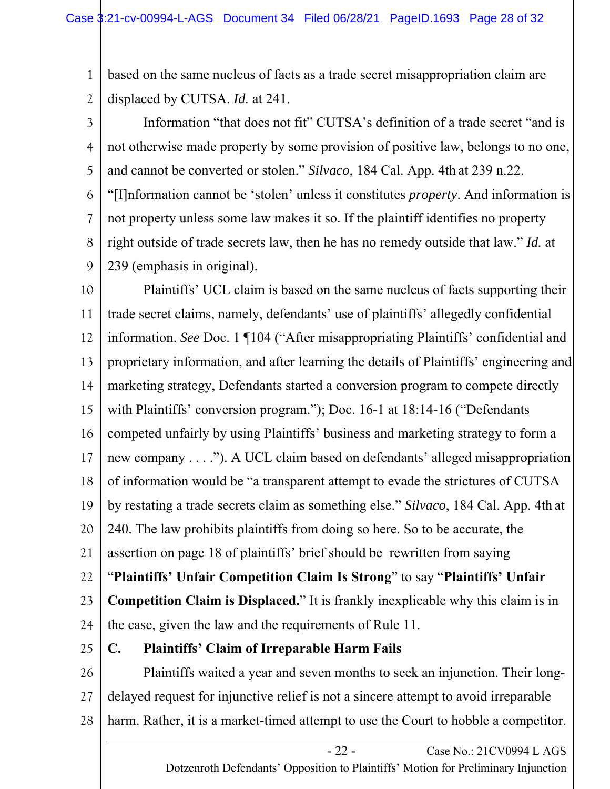1 2 based on the same nucleus of facts as a trade secret misappropriation claim are displaced by CUTSA. *Id.* at 241.

3 4 5 6 7 8 9 Information "that does not fit" CUTSA's definition of a trade secret "and is not otherwise made property by some provision of positive law, belongs to no one, and cannot be converted or stolen." *Silvaco*, 184 Cal. App. 4th at 239 n.22. "[I]nformation cannot be 'stolen' unless it constitutes *property*. And information is not property unless some law makes it so. If the plaintiff identifies no property right outside of trade secrets law, then he has no remedy outside that law." *Id.* at 239 (emphasis in original).

10 11 12 13 14 15 16 17 18 19 20 21 22 23 24 25 26 Plaintiffs' UCL claim is based on the same nucleus of facts supporting their trade secret claims, namely, defendants' use of plaintiffs' allegedly confidential information. *See* Doc. 1 ¶104 ("After misappropriating Plaintiffs' confidential and proprietary information, and after learning the details of Plaintiffs' engineering and marketing strategy, Defendants started a conversion program to compete directly with Plaintiffs' conversion program."); Doc. 16-1 at 18:14-16 ("Defendants competed unfairly by using Plaintiffs' business and marketing strategy to form a new company . . . ."). A UCL claim based on defendants' alleged misappropriation of information would be "a transparent attempt to evade the strictures of CUTSA by restating a trade secrets claim as something else." *Silvaco*, 184 Cal. App. 4th at 240. The law prohibits plaintiffs from doing so here. So to be accurate, the assertion on page 18 of plaintiffs' brief should be rewritten from saying "**Plaintiffs' Unfair Competition Claim Is Strong**" to say "**Plaintiffs' Unfair Competition Claim is Displaced.**" It is frankly inexplicable why this claim is in the case, given the law and the requirements of Rule 11. **C. Plaintiffs' Claim of Irreparable Harm Fails**  Plaintiffs waited a year and seven months to seek an injunction. Their long-

27 28 delayed request for injunctive relief is not a sincere attempt to avoid irreparable harm. Rather, it is a market-timed attempt to use the Court to hobble a competitor.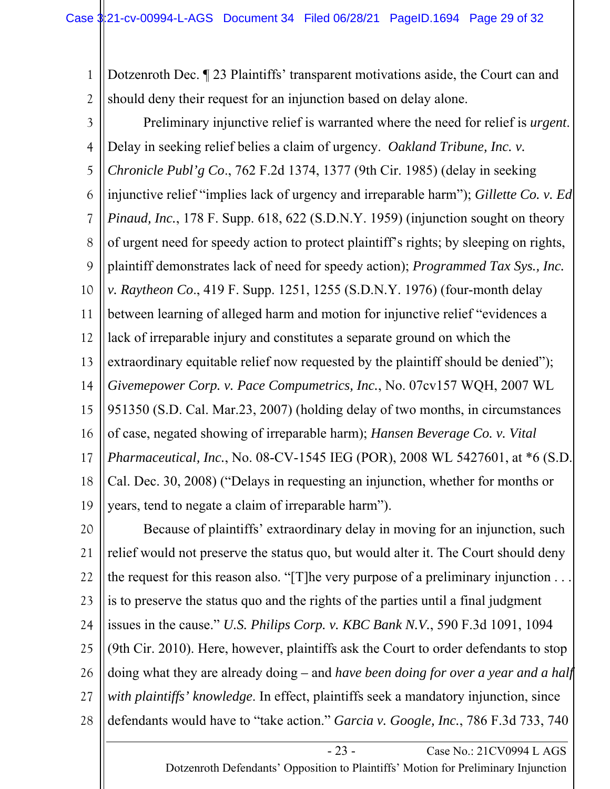1 2 Dotzenroth Dec. ¶ 23 Plaintiffs' transparent motivations aside, the Court can and should deny their request for an injunction based on delay alone.

3 4 5 6 7 8 9 10 11 12 13 14 15 16 17 18 19 Preliminary injunctive relief is warranted where the need for relief is *urgent*. Delay in seeking relief belies a claim of urgency. *Oakland Tribune, Inc. v. Chronicle Publ'g Co*., 762 F.2d 1374, 1377 (9th Cir. 1985) (delay in seeking injunctive relief "implies lack of urgency and irreparable harm"); *Gillette Co. v. Ed Pinaud, Inc.*, 178 F. Supp. 618, 622 (S.D.N.Y. 1959) (injunction sought on theory of urgent need for speedy action to protect plaintiff's rights; by sleeping on rights, plaintiff demonstrates lack of need for speedy action); *Programmed Tax Sys., Inc. v. Raytheon Co*., 419 F. Supp. 1251, 1255 (S.D.N.Y. 1976) (four-month delay between learning of alleged harm and motion for injunctive relief "evidences a lack of irreparable injury and constitutes a separate ground on which the extraordinary equitable relief now requested by the plaintiff should be denied"); *Givemepower Corp. v. Pace Compumetrics, Inc.*, No. 07cv157 WQH, 2007 WL 951350 (S.D. Cal. Mar.23, 2007) (holding delay of two months, in circumstances of case, negated showing of irreparable harm); *Hansen Beverage Co. v. Vital Pharmaceutical, Inc.*, No. 08-CV-1545 IEG (POR), 2008 WL 5427601, at \*6 (S.D. Cal. Dec. 30, 2008) ("Delays in requesting an injunction, whether for months or years, tend to negate a claim of irreparable harm").

20 21 22 23 24 25 26 27 28 Because of plaintiffs' extraordinary delay in moving for an injunction, such relief would not preserve the status quo, but would alter it. The Court should deny the request for this reason also. "[T]he very purpose of a preliminary injunction . . . is to preserve the status quo and the rights of the parties until a final judgment issues in the cause." *U.S. Philips Corp. v. KBC Bank N.V.*, 590 F.3d 1091, 1094 (9th Cir. 2010). Here, however, plaintiffs ask the Court to order defendants to stop doing what they are already doing *–* and *have been doing for over a year and a half with plaintiffs' knowledge*. In effect, plaintiffs seek a mandatory injunction, since defendants would have to "take action." *Garcia v. Google, Inc.*, 786 F.3d 733, 740

Dotzenroth Defendants' Opposition to Plaintiffs' Motion for Preliminary Injunction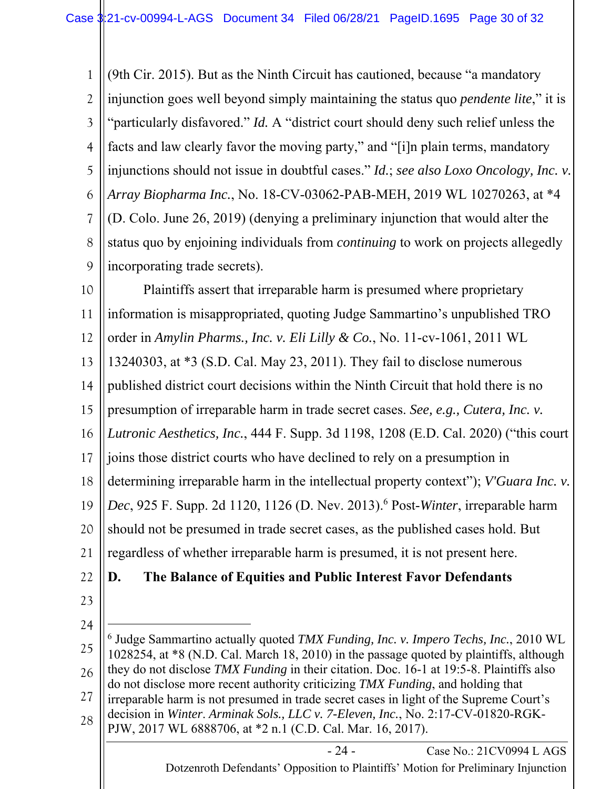1 2 3 4 5 6 7 8 9 (9th Cir. 2015). But as the Ninth Circuit has cautioned, because "a mandatory injunction goes well beyond simply maintaining the status quo *pendente lite*," it is "particularly disfavored." *Id.* A "district court should deny such relief unless the facts and law clearly favor the moving party," and "[i]n plain terms, mandatory injunctions should not issue in doubtful cases." *Id.*; *see also Loxo Oncology, Inc. v. Array Biopharma Inc.*, No. 18-CV-03062-PAB-MEH, 2019 WL 10270263, at \*4 (D. Colo. June 26, 2019) (denying a preliminary injunction that would alter the status quo by enjoining individuals from *continuing* to work on projects allegedly incorporating trade secrets).

10 11 12 13 14 15 16 17 18 19 20 21 22 Plaintiffs assert that irreparable harm is presumed where proprietary information is misappropriated, quoting Judge Sammartino's unpublished TRO order in *Amylin Pharms., Inc. v. Eli Lilly & Co.*, No. 11-cv-1061, 2011 WL 13240303, at \*3 (S.D. Cal. May 23, 2011). They fail to disclose numerous published district court decisions within the Ninth Circuit that hold there is no presumption of irreparable harm in trade secret cases. *See, e.g., Cutera, Inc. v. Lutronic Aesthetics, Inc.*, 444 F. Supp. 3d 1198, 1208 (E.D. Cal. 2020) ("this court joins those district courts who have declined to rely on a presumption in determining irreparable harm in the intellectual property context"); *V'Guara Inc. v. Dec*, 925 F. Supp. 2d 1120, 1126 (D. Nev. 2013).6 Post-*Winter*, irreparable harm should not be presumed in trade secret cases, as the published cases hold. But regardless of whether irreparable harm is presumed, it is not present here. **D. The Balance of Equities and Public Interest Favor Defendants**

- 23
- 24

25 26 27 28 6 Judge Sammartino actually quoted *TMX Funding, Inc. v. Impero Techs, Inc.*, 2010 WL 1028254, at \*8 (N.D. Cal. March 18, 2010) in the passage quoted by plaintiffs, although they do not disclose *TMX Funding* in their citation. Doc. 16-1 at 19:5-8. Plaintiffs also do not disclose more recent authority criticizing *TMX Funding*, and holding that irreparable harm is not presumed in trade secret cases in light of the Supreme Court's decision in *Winter*. *Arminak Sols., LLC v. 7-Eleven, Inc.*, No. 2:17-CV-01820-RGK-PJW, 2017 WL 6888706, at \*2 n.1 (C.D. Cal. Mar. 16, 2017).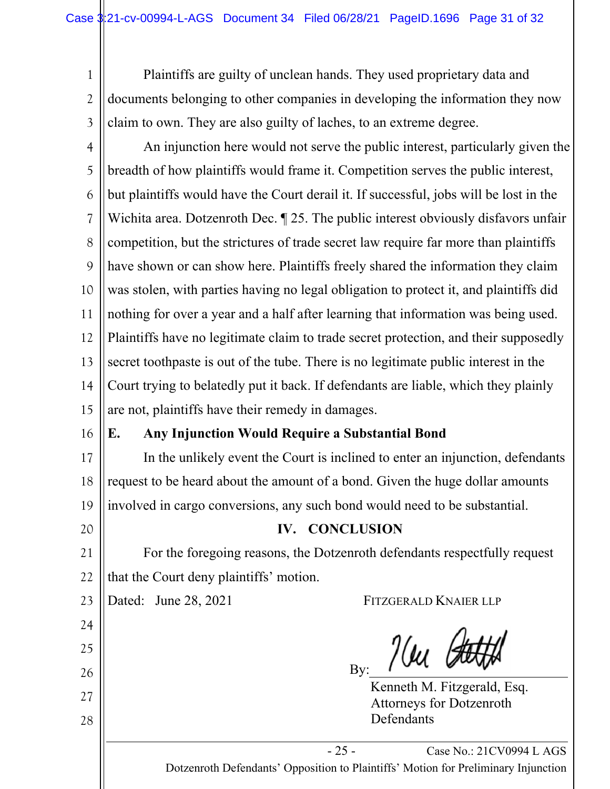1 2 3 Plaintiffs are guilty of unclean hands. They used proprietary data and documents belonging to other companies in developing the information they now claim to own. They are also guilty of laches, to an extreme degree.

4 5 6 7 8 9 10 11 12 13 14 15 An injunction here would not serve the public interest, particularly given the breadth of how plaintiffs would frame it. Competition serves the public interest, but plaintiffs would have the Court derail it. If successful, jobs will be lost in the Wichita area. Dotzenroth Dec. ¶ 25. The public interest obviously disfavors unfair competition, but the strictures of trade secret law require far more than plaintiffs have shown or can show here. Plaintiffs freely shared the information they claim was stolen, with parties having no legal obligation to protect it, and plaintiffs did nothing for over a year and a half after learning that information was being used. Plaintiffs have no legitimate claim to trade secret protection, and their supposedly secret toothpaste is out of the tube. There is no legitimate public interest in the Court trying to belatedly put it back. If defendants are liable, which they plainly are not, plaintiffs have their remedy in damages.

# **E. Any Injunction Would Require a Substantial Bond**

17 18 19 In the unlikely event the Court is inclined to enter an injunction, defendants request to be heard about the amount of a bond. Given the huge dollar amounts involved in cargo conversions, any such bond would need to be substantial.

## **IV. CONCLUSION**

21 22 For the foregoing reasons, the Dotzenroth defendants respectfully request that the Court deny plaintiffs' motion.

23

16

20

24

25

26

27

28

Dated: June 28, 2021 FITZGERALD KNAIER LLP

 $\frac{\partial u}{\partial u}$ By:

Kenneth M. Fitzgerald, Esq. Attorneys for Dotzenroth Defendants